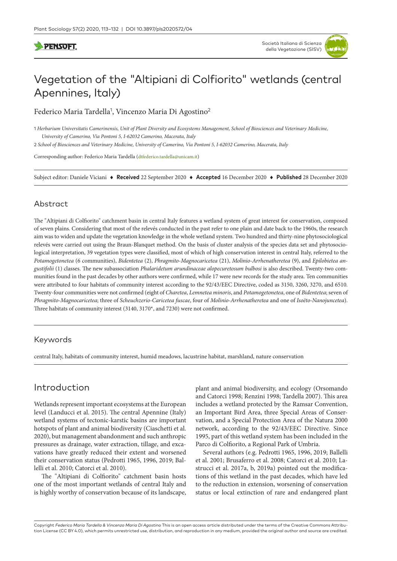## **DENSOFT**

# Vegetation of the "Altipiani di Colfiorito" wetlands (central Apennines, Italy)

Federico Maria Tardella<sup>1</sup>, Vincenzo Maria Di Agostino<sup>2</sup>

1 *Herbarium Universitatis Camerinensis, Unit of Plant Diversity and Ecosystems Management, School of Biosciences and Veterinary Medicine, University of Camerino, Via Pontoni 5, I-62032 Camerino, Macerata, Italy*

2 *School of Biosciences and Veterinary Medicine, University of Camerino, Via Pontoni 5, I-62032 Camerino, Macerata, Italy*

Corresponding author: Federico Maria Tardella [\(dtfederico.tardella@unicam.it](mailto:dtfederico.tardella@unicam.it))

Subject editor: Daniele Viciani ♦ **Received** 22 September 2020 ♦ **Accepted** 16 December 2020 ♦ **Published** 28 December 2020

#### Abstract

The "Altipiani di Colfiorito" catchment basin in central Italy features a wetland system of great interest for conservation, composed of seven plains. Considering that most of the relevés conducted in the past refer to one plain and date back to the 1960s, the research aim was to widen and update the vegetation knowledge in the whole wetland system. Two hundred and thirty-nine phytosociological relevés were carried out using the Braun-Blanquet method. On the basis of cluster analysis of the species data set and phytosociological interpretation, 39 vegetation types were classified, most of which of high conservation interest in central Italy, referred to the *Potamogetonetea* (6 communities), *Bidentetea* (2), *Phragmito-Magnocaricetea* (21), *Molinio-Arrhenatheretea* (9), and *Epilobietea angustifolii* (1) classes. The new subassociation *Phalaridetum arundinaceae alopecuretosum bulbosi* is also described. Twenty-two communities found in the past decades by other authors were confirmed, while 17 were new records for the study area. Ten communities were attributed to four habitats of community interest according to the 92/43/EEC Directive, coded as 3150, 3260, 3270, and 6510. Twenty-four communities were not confirmed (eight of *Charetea*, *Lemnetea minoris*, and *Potamogetonetea*, one of *Bidentetea*; seven of *Phragmito-Magnocaricetea*; three of *Scheuchzerio-Caricetea fuscae*, four of *Molinio-Arrhenatheretea* and one of *Isoëto-Nanojuncetea*). Three habitats of community interest (3140, 3170\*, and 7230) were not confirmed.

#### Keywords

central Italy, habitats of community interest, humid meadows, lacustrine habitat, marshland, nature conservation

# Introduction

Wetlands represent important ecosystems at the European level (Landucci et al. 2015). The central Apennine (Italy) wetland systems of tectonic-karstic basins are important hotspots of plant and animal biodiversity (Ciaschetti et al. 2020), but management abandonment and such anthropic pressures as drainage, water extraction, tillage, and excavations have greatly reduced their extent and worsened their conservation status (Pedrotti 1965, 1996, 2019; Ballelli et al. 2010; Catorci et al. 2010).

The "Altipiani di Colfiorito" catchment basin hosts one of the most important wetlands of central Italy and is highly worthy of conservation because of its landscape,

plant and animal biodiversity, and ecology (Orsomando and Catorci 1998; Renzini 1998; Tardella 2007). This area includes a wetland protected by the Ramsar Convention, an Important Bird Area, three Special Areas of Conservation, and a Special Protection Area of the Natura 2000 network, according to the 92/43/EEC Directive. Since 1995, part of this wetland system has been included in the Parco di Colfiorito, a Regional Park of Umbria.

Several authors (e.g. Pedrotti 1965, 1996, 2019; Ballelli et al. 2001; Brusaferro et al. 2008; Catorci et al. 2010; Lastrucci et al. 2017a, b, 2019a) pointed out the modifications of this wetland in the past decades, which have led to the reduction in extension, worsening of conservation status or local extinction of rare and endangered plant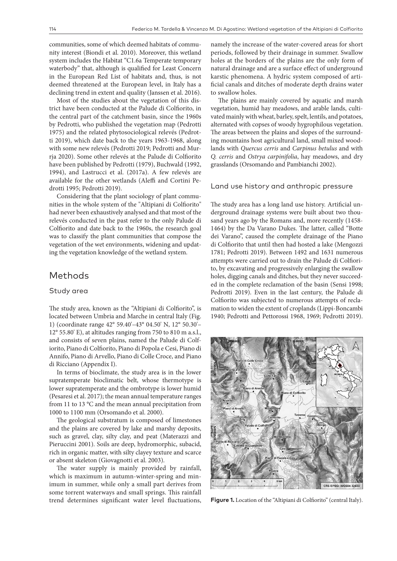communities, some of which deemed habitats of community interest (Biondi et al. 2010). Moreover, this wetland system includes the Habitat "C1.6a Temperate temporary waterbody" that, although is qualified for Least Concern in the European Red List of habitats and, thus, is not deemed threatened at the European level, in Italy has a declining trend in extent and quality (Janssen et al. 2016).

Most of the studies about the vegetation of this district have been conducted at the Palude di Colfiorito, in the central part of the catchment basin, since the 1960s by Pedrotti, who published the vegetation map (Pedrotti 1975) and the related phytosociological relevés (Pedrotti 2019), which date back to the years 1963-1968, along with some new relevés (Pedrotti 2019; Pedrotti and Murrja 2020). Some other relevés at the Palude di Colfiorito have been published by Pedrotti (1979), Buchwald (1992, 1994), and Lastrucci et al. (2017a). A few relevés are available for the other wetlands (Aleffi and Cortini Pedrotti 1995; Pedrotti 2019).

Considering that the plant sociology of plant communities in the whole system of the "Altipiani di Colfiorito" had never been exhaustively analysed and that most of the relevés conducted in the past refer to the only Palude di Colfiorito and date back to the 1960s, the research goal was to classify the plant communities that compose the vegetation of the wet environments, widening and updating the vegetation knowledge of the wetland system.

### Methods

#### Study area

The study area, known as the "Altipiani di Colfiorito", is located between Umbria and Marche in central Italy (Fig. 1) (coordinate range 42° 59.40'–43° 04.50' N, 12° 50.30'– 12° 55.80' E), at altitudes ranging from 750 to 810 m a.s.l., and consists of seven plains, named the Palude di Colfiorito, Piano di Colfiorito, Piano di Popola e Cesi, Piano di Annifo, Piano di Arvello, Piano di Colle Croce, and Piano di Ricciano (Appendix I).

In terms of bioclimate, the study area is in the lower supratemperate bioclimatic belt, whose thermotype is lower supratemperate and the ombrotype is lower humid (Pesaresi et al. 2017); the mean annual temperature ranges from 11 to 13 °C and the mean annual precipitation from 1000 to 1100 mm (Orsomando et al. 2000).

The geological substratum is composed of limestones and the plains are covered by lake and marshy deposits, such as gravel, clay, silty clay, and peat (Materazzi and Pieruccini 2001). Soils are deep, hydromorphic, subacid, rich in organic matter, with silty clayey texture and scarce or absent skeleton (Giovagnotti et al. 2003).

The water supply is mainly provided by rainfall, which is maximum in autumn-winter-spring and minimum in summer, while only a small part derives from some torrent waterways and small springs. This rainfall trend determines significant water level fluctuations, namely the increase of the water-covered areas for short periods, followed by their drainage in summer. Swallow holes at the borders of the plains are the only form of natural drainage and are a surface effect of underground karstic phenomena. A hydric system composed of artificial canals and ditches of moderate depth drains water to swallow holes.

The plains are mainly covered by aquatic and marsh vegetation, humid hay meadows, and arable lands, cultivated mainly with wheat, barley, spelt, lentils, and potatoes, alternated with copses of woody hygrophilous vegetation. The areas between the plains and slopes of the surrounding mountains host agricultural land, small mixed woodlands with *Quercus cerris* and *Carpinus betulus* and with *Q. cerris* and *Ostrya carpinifolia*, hay meadows, and dry grasslands (Orsomando and Pambianchi 2002).

#### Land use history and anthropic pressure

The study area has a long land use history. Artificial underground drainage systems were built about two thousand years ago by the Romans and, more recently (1458- 1464) by the Da Varano Dukes. The latter, called "Botte dei Varano", caused the complete drainage of the Piano di Colfiorito that until then had hosted a lake (Mengozzi 1781; Pedrotti 2019). Between 1492 and 1631 numerous attempts were carried out to drain the Palude di Colfiorito, by excavating and progressively enlarging the swallow holes, digging canals and ditches, but they never succeeded in the complete reclamation of the basin (Sensi 1998; Pedrotti 2019). Even in the last century, the Palude di Colfiorito was subjected to numerous attempts of reclamation to widen the extent of croplands (Lippi-Boncambi 1940; Pedrotti and Pettorossi 1968, 1969; Pedrotti 2019).



Figure 1. Location of the "Altipiani di Colfiorito" (central Italy).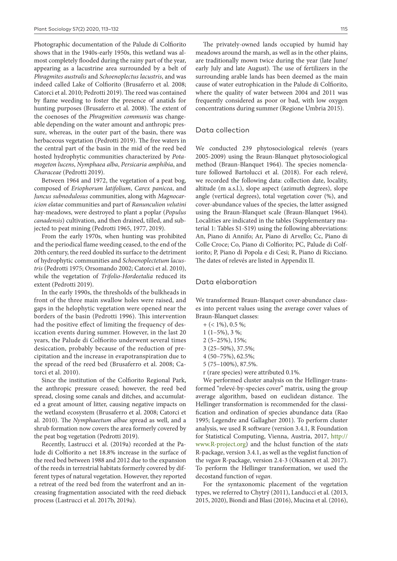Photographic documentation of the Palude di Colfiorito shows that in the 1940s-early 1950s, this wetland was almost completely flooded during the rainy part of the year, appearing as a lacustrine area surrounded by a belt of *Phragmites australis* and *Schoenoplectus lacustris*, and was indeed called Lake of Colfiorito (Brusaferro et al. 2008; Catorci et al. 2010; Pedrotti 2019). The reed was contained by flame weeding to foster the presence of anatids for hunting purposes (Brusaferro et al. 2008). The extent of the coenoses of the *Phragmition communis* was changeable depending on the water amount and anthropic pressure, whereas, in the outer part of the basin, there was herbaceous vegetation (Pedrotti 2019). The free waters in the central part of the basin in the mid of the reed bed hosted hydrophytic communities characterized by *Potamogeton lucens*, *Nymphaea alba*, *Persicaria amphibia*, and *Characeae* (Pedrotti 2019).

Between 1964 and 1972, the vegetation of a peat bog, composed of *Eriophorum latifolium*, *Carex panicea*, and *Juncus subnodulosus* communities, along with *Magnocaricion elatae* communities and part of *Ranunculion velutini* hay-meadows, were destroyed to plant a poplar (*Populus canadensis*) cultivation, and then drained, tilled, and subjected to peat mining (Pedrotti 1965, 1977, 2019).

From the early 1970s, when hunting was prohibited and the periodical flame weeding ceased, to the end of the 20th century, the reed doubled its surface to the detriment of hydrophytic communities and *Schoenoplectetum lacustris* (Pedrotti 1975; Orsomando 2002; Catorci et al. 2010), while the vegetation of *Trifolio-Hordeetalia* reduced its extent (Pedrotti 2019).

In the early 1990s, the thresholds of the bulkheads in front of the three main swallow holes were raised, and gaps in the helophytic vegetation were opened near the borders of the basin (Pedrotti 1996). This intervention had the positive effect of limiting the frequency of desiccation events during summer. However, in the last 20 years, the Palude di Colfiorito underwent several times desiccation, probably because of the reduction of precipitation and the increase in evapotranspiration due to the spread of the reed bed (Brusaferro et al. 2008; Catorci et al. 2010).

Since the institution of the Colfiorito Regional Park, the anthropic pressure ceased; however, the reed bed spread, closing some canals and ditches, and accumulated a great amount of litter, causing negative impacts on the wetland ecosystem (Brusaferro et al. 2008; Catorci et al. 2010). The *Nymphaeetum albae* spread as well, and a shrub formation now covers the area formerly covered by the peat bog vegetation (Pedrotti 2019).

Recently, Lastrucci et al. (2019a) recorded at the Palude di Colfiorito a net 18.8% increase in the surface of the reed bed between 1988 and 2012 due to the expansion of the reeds in terrestrial habitats formerly covered by different types of natural vegetation. However, they reported a retreat of the reed bed from the waterfront and an increasing fragmentation associated with the reed dieback process (Lastrucci et al. 2017b, 2019a).

The privately-owned lands occupied by humid hay meadows around the marsh, as well as in the other plains, are traditionally mown twice during the year (late June/ early July and late August). The use of fertilizers in the surrounding arable lands has been deemed as the main cause of water eutrophication in the Palude di Colfiorito, where the quality of water between 2004 and 2011 was frequently considered as poor or bad, with low oxygen concentrations during summer (Regione Umbria 2015).

#### Data collection

We conducted 239 phytosociological relevés (years 2005-2009) using the Braun-Blanquet phytosociological method (Braun-Blanquet 1964). The species nomenclature followed Bartolucci et al. (2018). For each relevé, we recorded the following data: collection date, locality, altitude (m a.s.l.), slope aspect (azimuth degrees), slope angle (vertical degrees), total vegetation cover (%), and cover-abundance values of the species, the latter assigned using the Braun-Blanquet scale (Braun-Blanquet 1964). Localities are indicated in the tables (Supplementary material 1: Tables S1-S19) using the following abbreviations: An, Piano di Annifo; Ar, Piano di Arvello; Cc, Piano di Colle Croce; Co, Piano di Colfiorito; PC, Palude di Colfiorito; P, Piano di Popola e di Cesi; R, Piano di Ricciano. The dates of relevés are listed in Appendix II.

#### Data elaboration

We transformed Braun-Blanquet cover-abundance classes into percent values using the average cover values of Braun-Blanquet classes:

- $+$  (< 1%), 0.5 %;
- $1(1-5\%, 3\%);$
- 2 (5–25%), 15%;
- 3 (25–50%), 37.5%;
- 4 (50–75%), 62.5%;
- 5 (75–100%), 87.5%.
- r (rare species) were attributed 0.1%.

We performed cluster analysis on the Hellinger-transformed "relevé-by-species cover" matrix, using the group average algorithm, based on euclidean distance. The Hellinger transformation is recommended for the classification and ordination of species abundance data (Rao 1995; Legendre and Gallagher 2001). To perform cluster analysis, we used R software (version 3.4.1, R Foundation for Statistical Computing, Vienna, Austria, 2017, [http://](http://www.R-project.org) [www.R-project.org\)](http://www.R-project.org) and the hclust function of the *stats* R-package, version 3.4.1, as well as the vegdist function of the *vegan* R-package, version 2.4-3 (Oksanen et al. 2017). To perform the Hellinger transformation, we used the decostand function of *vegan*.

For the syntaxonomic placement of the vegetation types, we referred to Chytrý (2011), Landucci et al. (2013, 2015, 2020), Biondi and Blasi (2016), Mucina et al. (2016),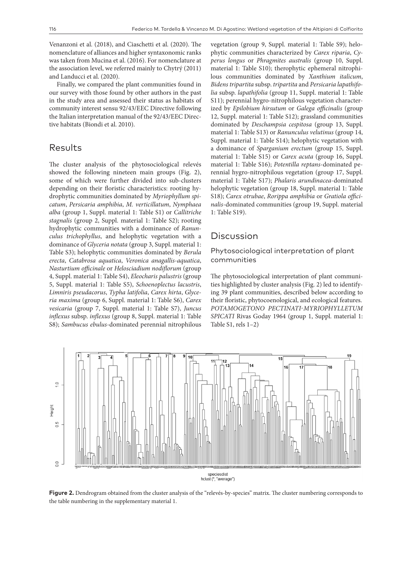Venanzoni et al. (2018), and Ciaschetti et al. (2020). The nomenclature of alliances and higher syntaxonomic ranks was taken from Mucina et al. (2016). For nomenclature at the association level, we referred mainly to Chytrý (2011) and Landucci et al. (2020).

Finally, we compared the plant communities found in our survey with those found by other authors in the past in the study area and assessed their status as habitats of community interest sensu 92/43/EEC Directive following the Italian interpretation manual of the 92/43/EEC Directive habitats (Biondi et al. 2010).

### Results

The cluster analysis of the phytosociological relevés showed the following nineteen main groups (Fig. 2), some of which were further divided into sub-clusters depending on their floristic characteristics: rooting hydrophytic communities dominated by *Myriophyllum spicatum*, *Persicaria amphibia*, *M. verticillatum*, *Nymphaea alba* (group 1, Suppl. material 1: Table S1) or *Callitriche stagnalis* (group 2, Suppl. material 1: Table S2); rooting hydrophytic communities with a dominance of *Ranunculus trichophyllus*, and helophytic vegetation with a dominance of *Glyceria notata* (group 3, Suppl. material 1: Table S3); helophytic communities dominated by *Berula erecta*, *Catabrosa aquatica*, *Veronica anagallis-aquatica*, *Nasturtium officinale* or *Helosciadium nodiflorum* (group 4, Suppl. material 1: Table S4), *Eleocharis palustris* (group 5, Suppl. material 1: Table S5), *Schoenoplectus lacustris*, *Limniris pseudacorus*, *Typha latifolia*, *Carex hirta*, *Glyceria maxima* (group 6, Suppl. material 1: Table S6), *Carex vesicaria* (group 7, Suppl. material 1: Table S7), *Juncus inflexus* subsp. *inflexus* (group 8, Suppl. material 1: Table S8); *Sambucus ebulus*-dominated perennial nitrophilous

vegetation (group 9, Suppl. material 1: Table S9); helophytic communities characterized by *Carex riparia*, *Cyperus longus* or *Phragmites australis* (group 10, Suppl. material 1: Table S10); therophytic ephemeral nitrophilous communities dominated by *Xanthium italicum*, *Bidens tripartita* subsp. *tripartita* and *Persicaria lapathifolia* subsp. *lapathifolia* (group 11, Suppl. material 1: Table S11); perennial hygro-nitrophilous vegetation characterized by *Epilobium hirsutum* or *Galega officinalis* (group 12, Suppl. material 1: Table S12); grassland communities dominated by *Deschampsia cespitosa* (group 13, Suppl. material 1: Table S13) or *Ranunculus velutinus* (group 14, Suppl. material 1: Table S14); helophytic vegetation with a dominance of *Sparganium erectum* (group 15, Suppl. material 1: Table S15) or *Carex acuta* (group 16, Suppl. material 1: Table S16); *Potentilla reptans*-dominated perennial hygro-nitrophilous vegetation (group 17, Suppl. material 1: Table S17); *Phalaris arundinacea*-dominated helophytic vegetation (group 18, Suppl. material 1: Table S18); *Carex otrubae*, *Rorippa amphibia* or *Gratiola officinalis*-dominated communities (group 19, Suppl. material 1: Table S19).

### Discussion

#### Phytosociological interpretation of plant communities

The phytosociological interpretation of plant communities highlighted by cluster analysis (Fig. 2) led to identifying 39 plant communities, described below according to their floristic, phytocoenological, and ecological features. *POTAMOGETONO PECTINATI-MYRIOPHYLLETUM SPICATI* Rivas Goday 1964 (group 1, Suppl. material 1: Table S1, rels 1–2)



Figure 2. Dendrogram obtained from the cluster analysis of the "relevés-by-species" matrix. The cluster numbering corresponds to the table numbering in the supplementary material 1.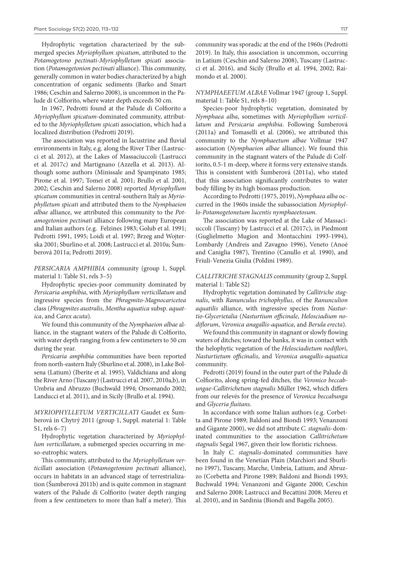Hydrophytic vegetation characterized by the submerged species *Myriophyllum spicatum*, attributed to the *Potamogetono pectinati-Myriophylletum spicati* association (*Potamogetonion pectinati* alliance). This community, generally common in water bodies characterized by a high concentration of organic sediments (Barko and Smart 1986; Ceschin and Salerno 2008), is uncommon in the Palude di Colfiorito, where water depth exceeds 50 cm.

In 1967, Pedrotti found at the Palude di Colfiorito a *Myriophyllum spicatum*-dominated community, attributed to the *Myriophylletum spicati* association, which had a localized distribution (Pedrotti 2019).

The association was reported in lacustrine and fluvial environments in Italy, e.g. along the River Tiber (Lastrucci et al. 2012), at the Lakes of Massaciuccoli (Lastrucci et al. 2017c) and Martignano (Azzella et al. 2013). Although some authors (Minissale and Spampinato 1985; Pirone et al. 1997; Tomei et al. 2001; Brullo et al. 2001, 2002; Ceschin and Salerno 2008) reported *Myriophyllum spicatum* communities in central-southern Italy as *Myriophylletum spicati* and attributed them to the *Nymphaeion albae* alliance, we attributed this community to the *Potamogetonion pectinati* alliance following many European and Italian authors (e.g. Felzines 1983; Golub et al. 1991; Pedrotti 1991, 1995; Loidi et al. 1997; Brzeg and Wojterska 2001; Sburlino et al. 2008; Lastrucci et al. 2010a; Šumberová 2011a; Pedrotti 2019).

*PERSICARIA AMPHIBIA* community (group 1, Suppl. material 1: Table S1, rels 3–5)

Hydrophytic species-poor community dominated by *Persicaria amphibia*, with *Myriophyllum verticillatum* and ingressive species from the *Phragmito-Magnocaricetea* class (*Phragmites australis*, *Mentha aquatica* subsp. *aquatica*, and *Carex acuta*).

We found this community of the *Nymphaeion albae* alliance, in the stagnant waters of the Palude di Colfiorito, with water depth ranging from a few centimeters to 50 cm during the year.

*Persicaria amphibia* communities have been reported from north-eastern Italy (Sburlino et al. 2008), in Lake Bolsena (Latium) (Iberite et al. 1995), Valdichiana and along the River Arno (Tuscany) (Lastrucci et al. 2007, 2010a,b), in Umbria and Abruzzo (Buchwald 1994; Orsomando 2002; Landucci et al. 2011), and in Sicily (Brullo et al. 1994).

*MYRIOPHYLLETUM VERTICILLATI* Gaudet ex Šumberová in Chytrý 2011 (group 1, Suppl. material 1: Table S1, rels 6–7)

Hydrophytic vegetation characterized by *Myriophyllum verticillatum*, a submerged species occurring in meso-eutrophic waters.

This community, attributed to the *Myriophylletum verticillati* association (*Potamogetonion pectinati* alliance), occurs in habitats in an advanced stage of terrestrialization (Šumberová 2011b) and is quite common in stagnant waters of the Palude di Colfiorito (water depth ranging from a few centimeters to more than half a meter). This community was sporadic at the end of the 1960s (Pedrotti 2019). In Italy, this association is uncommon, occurring in Latium (Ceschin and Salerno 2008), Tuscany (Lastrucci et al. 2016), and Sicily (Brullo et al. 1994, 2002; Raimondo et al. 2000).

*NYMPHAEETUM ALBAE* Vollmar 1947 (group 1, Suppl. material 1: Table S1, rels 8–10)

Species-poor hydrophytic vegetation, dominated by *Nymphaea alba*, sometimes with *Myriophyllum verticillatum* and *Persicaria amphibia*. Following Šumberová (2011a) and Tomaselli et al. (2006), we attributed this community to the *Nymphaeetum albae* Vollmar 1947 association (*Nymphaeion albae* alliance). We found this community in the stagnant waters of the Palude di Colfiorito, 0.5-1 m-deep, where it forms very extensive stands. This is consistent with Šumberová (2011a), who stated that this association significantly contributes to water body filling by its high biomass production.

According to Pedrotti (1975, 2019), *Nymphaea alba* occurred in the 1960s inside the subassociation *Myriophyllo-Potamogetonetum lucentis nymphaeetosum*.

The association was reported at the Lake of Massaciuccoli (Tuscany) by Lastrucci et al. (2017c), in Piedmont (Guglielmetto Mugion and Montacchini 1993-1994), Lombardy (Andreis and Zavagno 1996), Veneto (Anoè and Caniglia 1987), Trentino (Canullo et al. 1990), and Friuli-Venezia Giulia (Poldini 1989).

#### *CALLITRICHE STAGNALIS* community (group 2, Suppl. material 1: Table S2)

Hydrophytic vegetation dominated by *Callitriche stagnalis*, with *Ranunculus trichophyllus*, of the *Ranunculion aquatilis* alliance, with ingressive species from *Nasturtio-Glycerietalia* (*Nasturtium officinale*, *Helosciadium nodiflorum*, *Veronica anagallis-aquatica*, and *Berula erecta*).

We found this community in stagnant or slowly flowing waters of ditches; toward the banks, it was in contact with the helophytic vegetation of the *Helosciadietum nodiflori*, *Nasturtietum officinalis*, and *Veronica anagallis-aquatica* community.

Pedrotti (2019) found in the outer part of the Palude di Colfiorito, along spring-fed ditches, the *Veronico beccabungae-Callitrichetum stagnalis* Müller 1962, which differs from our relevés for the presence of *Veronica beccabunga* and *Glyceria fluitans*.

In accordance with some Italian authors (e.g. Corbetta and Pirone 1989; Baldoni and Biondi 1993; Venanzoni and Gigante 2000), we did not attribute *C. stagnalis*-dominated communities to the association *Callitrichetum stagnalis* Segal 1967, given their low floristic richness.

In Italy *C. stagnalis*-dominated communities have been found in the Venetian Plain (Marchiori and Sburlino 1997), Tuscany, Marche, Umbria, Latium, and Abruzzo (Corbetta and Pirone 1989; Baldoni and Biondi 1993; Buchwald 1994; Venanzoni and Gigante 2000; Ceschin and Salerno 2008; Lastrucci and Becattini 2008; Mereu et al. 2010), and in Sardinia (Biondi and Bagella 2005).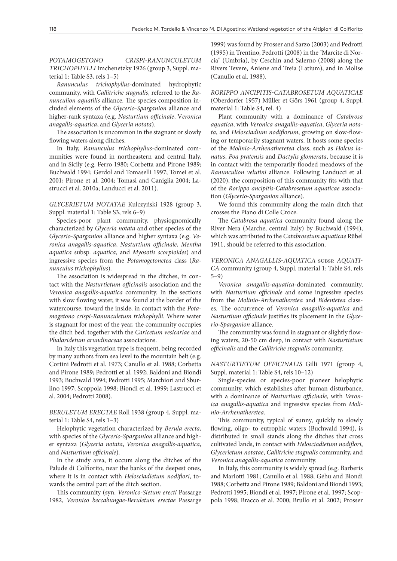*POTAMOGETONO CRISPI-RANUNCULETUM TRICHOPHYLLI* Imchenetzky 1926 (group 3, Suppl. material 1: Table S3, rels 1–5)

*Ranunculus trichophyllus*-dominated hydrophytic community, with *Callitriche stagnalis*, referred to the *Ranunculion aquatilis* alliance. The species composition included elements of the *Glycerio-Sparganion* alliance and higher-rank syntaxa (e.g. *Nasturtium officinale*, V*eronica anagallis-aquatica*, and *Glyceria notata*).

The association is uncommon in the stagnant or slowly flowing waters along ditches.

In Italy, *Ranunculus trichophyllus*-dominated communities were found in northeastern and central Italy, and in Sicily (e.g. Ferro 1980; Corbetta and Pirone 1989; Buchwald 1994; Gerdol and Tomaselli 1997; Tomei et al. 2001; Pirone et al. 2004; Tomasi and Caniglia 2004; Lastrucci et al. 2010a; Landucci et al. 2011).

*GLYCERIETUM NOTATAE* Kulczyński 1928 (group 3, Suppl. material 1: Table S3, rels 6–9)

Species-poor plant community, physiognomically characterized by *Glyceria notata* and other species of the *Glycerio-Sparganion* alliance and higher syntaxa (e.g. *Veronica anagallis-aquatica*, *Nasturtium officinale*, *Mentha aquatica* subsp. *aquatica*, and *Myosotis scorpioides*) and ingressive species from the *Potamogetonetea* class (*Ranunculus trichophyllus*).

The association is widespread in the ditches, in contact with the *Nasturtietum officinalis* association and the *Veronica anagallis-aquatica* community. In the sections with slow flowing water, it was found at the border of the watercourse, toward the inside, in contact with the *Potamogetono crispi-Ranunculetum trichophylli*. Where water is stagnant for most of the year, the community occupies the ditch bed, together with the *Caricetum vesicariae* and *Phalaridetum arundinaceae* associations.

In Italy this vegetation type is frequent, being recorded by many authors from sea level to the mountain belt (e.g. Cortini Pedrotti et al. 1973; Canullo et al. 1988; Corbetta and Pirone 1989; Pedrotti et al. 1992; Baldoni and Biondi 1993; Buchwald 1994; Pedrotti 1995; Marchiori and Sburlino 1997; Scoppola 1998; Biondi et al. 1999; Lastrucci et al. 2004; Pedrotti 2008).

*BERULETUM ERECTAE* Roll 1938 (group 4, Suppl. material 1: Table S4, rels 1–3)

Helophytic vegetation characterized by *Berula erecta*, with species of the *Glycerio-Sparganion* alliance and higher syntaxa (*Glyceria notata*, *Veronica anagallis-aquatica*, and *Nasturtium officinale*).

In the study area, it occurs along the ditches of the Palude di Colfiorito, near the banks of the deepest ones, where it is in contact with *Helosciadietum nodiflori*, towards the central part of the ditch section.

This community (syn. *Veronico-Sietum erecti* Passarge 1982, *Veronico beccabungae-Beruletum erectae* Passarge 1999) was found by Prosser and Sarzo (2003) and Pedrotti (1995) in Trentino, Pedrotti (2008) in the "Marcite di Norcia" (Umbria), by Ceschin and Salerno (2008) along the Rivers Tevere, Aniene and Treia (Latium), and in Molise (Canullo et al. 1988).

*RORIPPO ANCIPITIS-CATABROSETUM AQUATICAE* (Oberdorfer 1957) Müller et Görs 1961 (group 4, Suppl. material 1: Table S4, rel. 4)

Plant community with a dominance of *Catabrosa aquatica*, with *Veronica anagallis-aquatica*, *Glyceria notata*, and *Helosciadium nodiflorum*, growing on slow-flowing or temporarily stagnant waters. It hosts some species of the *Molinio-Arrhenatheretea* class, such as *Holcus lanatus*, *Poa pratensis* and *Dactylis glomerata*, because it is in contact with the temporarily flooded meadows of the *Ranunculion velutini* alliance. Following Landucci et al. (2020), the composition of this community fits with that of the *Rorippo ancipitis-Catabrosetum aquaticae* association (*Glycerio-Sparganion* alliance).

We found this community along the main ditch that crosses the Piano di Colle Croce.

The *Catabrosa aquatica* community found along the River Nera (Marche, central Italy) by Buchwald (1994), which was attributed to the *Catabrosetum aquaticae* Rübel 1911, should be referred to this association.

*VERONICA ANAGALLIS-AQUATICA* subsp. *AQUATI-CA* community (group 4, Suppl. material 1: Table S4, rels 5–9)

*Veronica anagallis-aquatica*-dominated community, with *Nasturtium officinale* and some ingressive species from the *Molinio-Arrhenatheretea* and *Bidentetea* classes. The occurrence of *Veronica anagallis-aquatica* and *Nasturtium officinale* justifies its placement in the *Glycerio-Sparganion* alliance.

The community was found in stagnant or slightly flowing waters, 20-50 cm deep, in contact with *Nasturtietum officinalis* and the *Callitriche stagnalis* community.

*NASTURTIETUM OFFICINALIS* Gilli 1971 (group 4, Suppl. material 1: Table S4, rels 10–12)

Single-species or species-poor pioneer helophytic community, which establishes after human disturbance, with a dominance of *Nasturtium officinale*, with *Veronica anagallis-aquatica* and ingressive species from *Molinio-Arrhenatheretea*.

This community, typical of sunny, quickly to slowly flowing, oligo- to eutrophic waters (Buchwald 1994), is distributed in small stands along the ditches that cross cultivated lands, in contact with *Helosciadietum nodiflori*, *Glycerietum notatae*, *Callitriche stagnalis* community, and *Veronica anagallis-aquatica* community.

In Italy, this community is widely spread (e.g. Barberis and Mariotti 1981; Canullo et al. 1988; Géhu and Biondi 1988; Corbetta and Pirone 1989; Baldoni and Biondi 1993; Pedrotti 1995; Biondi et al. 1997; Pirone et al. 1997; Scoppola 1998; Bracco et al. 2000; Brullo et al. 2002; Prosser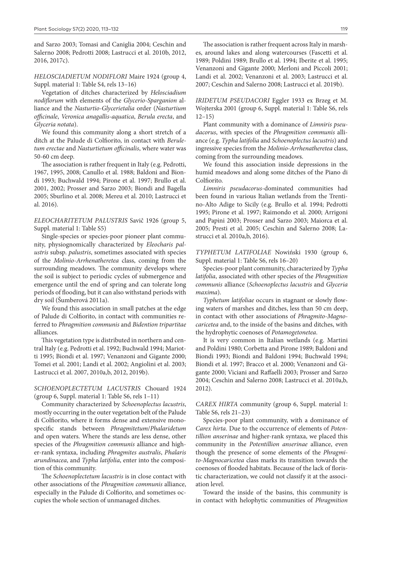and Sarzo 2003; Tomasi and Caniglia 2004; Ceschin and Salerno 2008; Pedrotti 2008; Lastrucci et al. 2010b, 2012, 2016, 2017c).

*HELOSCIADIETUM NODIFLORI* Maire 1924 (group 4, Suppl. material 1: Table S4, rels 13–16)

Vegetation of ditches characterized by *Helosciadium nodiflorum* with elements of the *Glycerio-Sparganion* alliance and the *Nasturtio-Glycerietalia* order (*Nasturtium officinale*, *Veronica anagallis-aquatica*, *Berula erecta*, and *Glyceria notata*).

We found this community along a short stretch of a ditch at the Palude di Colfiorito, in contact with *Beruletum erectae* and *Nasturtietum officinalis*, where water was 50-60 cm deep.

The association is rather frequent in Italy (e.g. Pedrotti, 1967, 1995, 2008; Canullo et al. 1988; Baldoni and Biondi 1993; Buchwald 1994; Pirone et al. 1997; Brullo et al. 2001, 2002; Prosser and Sarzo 2003; Biondi and Bagella 2005; Sburlino et al. 2008; Mereu et al. 2010; Lastrucci et al. 2016).

*ELEOCHARITETUM PALUSTRIS* Savič 1926 (group 5, Suppl. material 1: Table S5)

Single-species or species-poor pioneer plant community, physiognomically characterized by *Eleocharis palustris* subsp. *palustris*, sometimes associated with species of the *Molinio-Arrhenatheretea* class, coming from the surrounding meadows. The community develops where the soil is subject to periodic cycles of submergence and emergence until the end of spring and can tolerate long periods of flooding, but it can also withstand periods with dry soil (Šumberová 2011a).

We found this association in small patches at the edge of Palude di Colfiorito, in contact with communities referred to *Phragmition communis* and *Bidention tripartitae* alliances.

This vegetation type is distributed in northern and central Italy (e.g. Pedrotti et al. 1992; Buchwald 1994; Mariotti 1995; Biondi et al. 1997; Venanzoni and Gigante 2000; Tomei et al. 2001; Landi et al. 2002; Angiolini et al. 2003; Lastrucci et al. 2007, 2010a,b, 2012, 2019b).

#### *SCHOENOPLECTETUM LACUSTRIS* Chouard 1924 (group 6, Suppl. material 1: Table S6, rels 1–11)

Community characterized by *Schoenoplectus lacustris*, mostly occurring in the outer vegetation belt of the Palude di Colfiorito, where it forms dense and extensive monospecific stands between *Phragmitetum*/*Phalaridetum* and open waters. Where the stands are less dense, other species of the *Phragmition communis* alliance and higher-rank syntaxa, including *Phragmites australis*, *Phalaris arundinacea*, and *Typha latifolia*, enter into the composition of this community.

The *Schoenoplectetum lacustris* is in close contact with other associations of the *Phragmition communis* alliance, especially in the Palude di Colfiorito, and sometimes occupies the whole section of unmanaged ditches.

The association is rather frequent across Italy in marshes, around lakes and along watercourses (Fascetti et al. 1989; Poldini 1989; Brullo et al. 1994; Iberite et al. 1995; Venanzoni and Gigante 2000; Merloni and Piccoli 2001; Landi et al. 2002; Venanzoni et al. 2003; Lastrucci et al. 2007; Ceschin and Salerno 2008; Lastrucci et al. 2019b).

*IRIDETUM PSEUDACORI* Eggler 1933 ex Brzeg et M. Wojterska 2001 (group 6, Suppl. material 1: Table S6, rels  $12 - 15$ 

Plant community with a dominance of *Limniris pseudacorus*, with species of the *Phragmition communis* alliance (e.g. *Typha latifolia* and *Schoenoplectus lacustris*) and ingressive species from the *Molinio-Arrhenatheretea* class, coming from the surrounding meadows.

We found this association inside depressions in the humid meadows and along some ditches of the Piano di Colfiorito.

*Limniris pseudacorus*-dominated communities had been found in various Italian wetlands from the Trentino-Alto Adige to Sicily (e.g. Brullo et al. 1994; Pedrotti 1995; Pirone et al. 1997; Raimondo et al. 2000; Arrigoni and Papini 2003; Prosser and Sarzo 2003; Maiorca et al. 2005; Presti et al. 2005; Ceschin and Salerno 2008; Lastrucci et al. 2010a,b, 2016).

*TYPHETUM LATIFOLIAE* Nowiński 1930 (group 6, Suppl. material 1: Table S6, rels 16–20)

Species-poor plant community, characterized by *Typha latifolia*, associated with other species of the *Phragmition communis* alliance (*Schoenoplectus lacustris* and *Glyceria maxima*).

*Typhetum latifoliae* occurs in stagnant or slowly flowing waters of marshes and ditches, less than 50 cm deep, in contact with other associations of *Phragmito-Magnocaricetea* and, to the inside of the basins and ditches, with the hydrophytic coenoses of *Potamogetonetea*.

It is very common in Italian wetlands (e.g. Martini and Poldini 1980; Corbetta and Pirone 1989; Baldoni and Biondi 1993; Biondi and Baldoni 1994; Buchwald 1994; Biondi et al. 1997; Bracco et al. 2000; Venanzoni and Gigante 2000; Viciani and Raffaelli 2003; Prosser and Sarzo 2004; Ceschin and Salerno 2008; Lastrucci et al. 2010a,b, 2012).

*CAREX HIRTA* community (group 6, Suppl. material 1: Table S6, rels 21–23)

Species-poor plant community, with a dominance of *Carex hirta*. Due to the occurrence of elements of *Potentillion anserinae* and higher-rank syntaxa, we placed this community in the *Potentillion anserinae* alliance, even though the presence of some elements of the *Phragmito-Magnocaricetea* class marks its transition towards the coenoses of flooded habitats. Because of the lack of floristic characterization, we could not classify it at the association level.

Toward the inside of the basins, this community is in contact with helophytic communities of *Phragmition*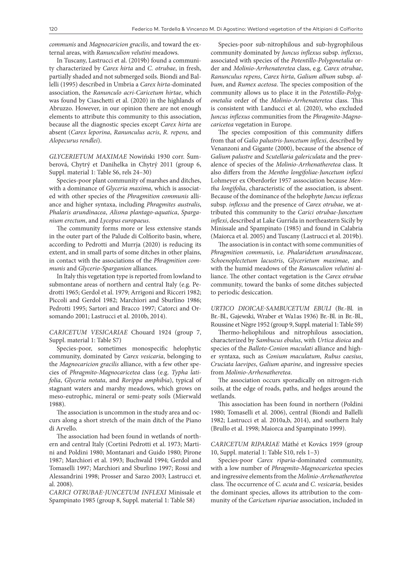*communis* and *Magnocaricion gracilis*, and toward the external areas, with *Ranunculion velutini* meadows.

In Tuscany, Lastrucci et al. (2019b) found a community characterized by *Carex hirta* and *C. otrubae*, in fresh, partially shaded and not submerged soils. Biondi and Ballelli (1995) described in Umbria a *Carex hirta*-dominated association, the *Ranunculo acri-Caricetum hirtae*, which was found by Ciaschetti et al. (2020) in the highlands of Abruzzo. However, in our opinion there are not enough elements to attribute this community to this association, because all the diagnostic species except *Carex hirta* are absent (*Carex leporina*, *Ranunculus acris*, *R. repens,* and *Alopecurus rendlei*).

*GLYCERIETUM MAXIMAE* Nowiński 1930 corr. Šumberová, Chytrý et Danihelka in Chytrý 2011 (group 6, Suppl. material 1: Table S6, rels 24–30)

Species-poor plant community of marshes and ditches, with a dominance of *Glyceria maxima*, which is associated with other species of the *Phragmition communis* alliance and higher syntaxa, including *Phragmites australis*, *Phalaris arundinacea*, *Alisma plantago-aquatica*, *Sparganium erectum*, and *Lycopus europaeus*.

The community forms more or less extensive stands in the outer part of the Palude di Colfiorito basin, where, according to Pedrotti and Murrja (2020) is reducing its extent, and in small parts of some ditches in other plains, in contact with the associations of the *Phragmition communis* and *Glycerio-Sparganion* alliances.

In Italy this vegetation type is reported from lowland to submontane areas of northern and central Italy (e.g. Pedrotti 1965; Gerdol et al. 1979; Arrigoni and Ricceri 1982; Piccoli and Gerdol 1982; Marchiori and Sburlino 1986; Pedrotti 1995; Sartori and Bracco 1997; Catorci and Orsomando 2001; Lastrucci et al. 2010b, 2014).

*CARICETUM VESICARIAE* Chouard 1924 (group 7, Suppl. material 1: Table S7)

Species-poor, sometimes monospecific helophytic community, dominated by *Carex vesicaria*, belonging to the *Magnocaricion gracilis* alliance, with a few other species of *Phragmito-Magnocaricetea* class (e.g. *Typha latifolia*, *Glyceria notata*, and *Rorippa amphibia*), typical of stagnant waters and marshy meadows, which grows on meso-eutrophic, mineral or semi-peaty soils (Mierwald 1988).

The association is uncommon in the study area and occurs along a short stretch of the main ditch of the Piano di Arvello.

The association had been found in wetlands of northern and central Italy (Cortini Pedrotti et al. 1973; Martini and Poldini 1980; Montanari and Guido 1980; Pirone 1987; Marchiori et al. 1993; Buchwald 1994; Gerdol and Tomaselli 1997; Marchiori and Sburlino 1997; Rossi and Alessandrini 1998; Prosser and Sarzo 2003; Lastrucci et. al. 2008).

*CARICI OTRUBAE-JUNCETUM INFLEXI* Minissale et Spampinato 1985 (group 8, Suppl. material 1: Table S8)

Species-poor sub-nitrophilous and sub-hygrophilous community dominated by *Juncus inflexus* subsp. *inflexus*, associated with species of the *Potentillo-Polygonetalia* order and *Molinio-Arrhenateretea* class, e.g. *Carex otrubae*, *Ranunculus repens*, *Carex hirta*, *Galium album* subsp. *album*, and *Rumex acetosa*. The species composition of the community allows us to place it in the *Potentillo-Polygonetalia* order of the *Molinio-Arrhenateretea* class. This is consistent with Landucci et al. (2020), who excluded *Juncus inflexus* communities from the *Phragmito-Magnocaricetea* vegetation in Europe.

The species composition of this community differs from that of *Galio palustris-Juncetum inflexi*, described by Venanzoni and Gigante (2000), because of the absence of *Galium palustre* and *Scutellaria galericulata* and the prevalence of species of the *Molinio-Arrhenatheretea* class. It also differs from the *Mentho longifoliae-Juncetum inflexi*  Lohmeyer ex Oberdorfer 1957 asssociation because *Mentha longifolia*, characteristic of the association, is absent. Because of the dominance of the helophyte *Juncus inflexus* subsp. *inflexus* and the presence of *Carex otrubae*, we attributed this community to the *Carici otrubae-Juncetum inflexi*, described at Lake Gurrida in northeastern Sicily by Minissale and Spampinato (1985) and found in Calabria (Maiorca et al. 2005) and Tuscany (Lastrucci et al. 2019b).

The association is in contact with some communities of *Phragmition communis*, i.e. *Phalaridetum arundinaceae*, *Schoenoplectetum lacustris*, *Glycerietum maximae*, and with the humid meadows of the *Ranunculion velutini* alliance. The other contact vegetation is the *Carex otrubae* community, toward the banks of some ditches subjected to periodic desiccation.

*URTICO DIOICAE-SAMBUCETUM EBULI* (Br.-Bl. in Br.-Bl., Gajewski, Wraber et Wa1as 1936) Br.-Bl. in Br.-Bl., Roussine et Nègre 1952 (group 9, Suppl. material 1: Table S9)

Thermo-heliophilous and nitrophilous association, characterized by *Sambucus ebulus*, with *Urtica dioica* and species of the *Balloto-Conion maculati* alliance and higher syntaxa, such as *Conium maculatum*, *Rubus caesius*, *Cruciata laevipes*, *Galium aparine*, and ingressive species from *Molinio-Arrhenatheretea*.

The association occurs sporadically on nitrogen-rich soils, at the edge of roads, paths, and hedges around the wetlands.

This association has been found in northern (Poldini 1980; Tomaselli et al. 2006), central (Biondi and Ballelli 1982; Lastrucci et al. 2010a,b, 2014), and southern Italy (Brullo et al. 1998; Maiorca and Spampinato 1999).

#### *CARICETUM RIPARIAE* Máthé et Kovács 1959 (group 10, Suppl. material 1: Table S10, rels 1–3)

Species-poor *Carex riparia*-dominated community, with a low number of *Phragmito-Magnocaricetea* species and ingressive elements from the *Molinio-Arrhenatheretea* class. The occurrence of *C. acuta* and *C. vesicaria*, besides the dominant species, allows its attribution to the community of the *Caricetum ripariae* association, included in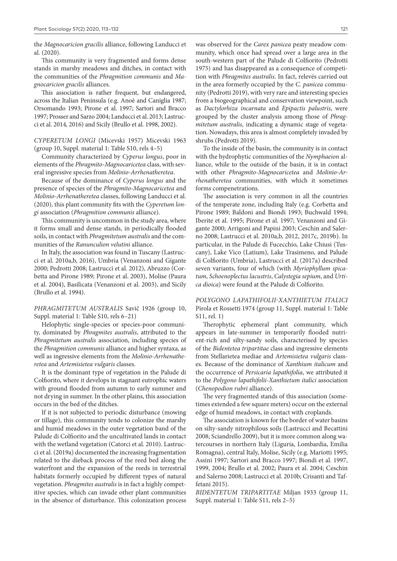the *Magnocaricion gracilis* alliance, following Landucci et al. (2020).

This community is very fragmented and forms dense stands in marshy meadows and ditches, in contact with the communities of the *Phragmition communis* and *Magnocaricion gracilis* alliances.

This association is rather frequent, but endangered, across the Italian Peninsula (e.g. Anoè and Caniglia 1987; Orsomando 1993; Pirone et al. 1997; Sartori and Bracco 1997; Prosser and Sarzo 2004; Landucci et al. 2013; Lastrucci et al. 2014, 2016) and Sicily (Brullo et al. 1998, 2002).

*CYPERETUM LONGI* (Micevski 1957) Micevski 1963 (group 10, Suppl. material 1: Table S10, rels 4–5)

Community characterized by *Cyperus longus*, poor in elements of the *Phragmito-Magnocaricetea* class, with several ingressive species from *Molinio-Arrhenatheretea*.

Because of the dominance of *Cyperus longus* and the presence of species of the *Phragmito-Magnocaricetea* and *Molinio-Arrhenatheretea* classes, following Landucci et al. (2020), this plant community fits with the *Cyperetum longi* association (*Phragmition communis* alliance).

This community is uncommon in the study area, where it forms small and dense stands, in periodically flooded soils, in contact with *Phragmitetum australis* and the communities of the *Ranunculion velutini* alliance.

In Italy, the association was found in Tuscany (Lastrucci et al. 2010a,b, 2016), Umbria (Venanzoni and Gigante 2000; Pedrotti 2008; Lastrucci et al. 2012), Abruzzo (Corbetta and Pirone 1989; Pirone et al. 2003), Molise (Paura et al. 2004), Basilicata (Venanzoni et al. 2003), and Sicily (Brullo et al. 1994).

*PHRAGMITETUM AUSTRALIS* Savič 1926 (group 10, Suppl. material 1: Table S10, rels 6–21)

Helophytic single-species or species-poor community, dominated by *Phragmites australis*, attributed to the *Phragmitetum australis* association, including species of the *Phragmition communis* alliance and higher syntaxa, as well as ingressive elements from the *Molinio-Arrhenatheretea* and *Artemisietea vulgaris* classes.

It is the dominant type of vegetation in the Palude di Colfiorito, where it develops in stagnant eutrophic waters with ground flooded from autumn to early summer and not drying in summer. In the other plains, this association occurs in the bed of the ditches.

If it is not subjected to periodic disturbance (mowing or tillage), this community tends to colonize the marshy and humid meadows in the outer vegetation band of the Palude di Colfiorito and the uncultivated lands in contact with the wetland vegetation (Catorci et al. 2010). Lastrucci et al. (2019a) documented the increasing fragmentation related to the dieback process of the reed bed along the waterfront and the expansion of the reeds in terrestrial habitats formerly occupied by different types of natural vegetation. *Phragmites australis* is in fact a highly competitive species, which can invade other plant communities in the absence of disturbance. This colonization process was observed for the *Carex panicea* peaty meadow community, which once had spread over a large area in the south-western part of the Palude di Colfiorito (Pedrotti 1975) and has disappeared as a consequence of competition with *Phragmites australis*. In fact, relevés carried out in the area formerly occupied by the *C. panicea* community (Pedrotti 2019), with very rare and interesting species from a biogeographical and conservation viewpoint, such as *Dactylorhiza incarnata* and *Epipactis palustris*, were grouped by the cluster analysis among those of *Phragmitetum australis*, indicating a dynamic stage of vegetation. Nowadays, this area is almost completely invaded by shrubs (Pedrotti 2019).

To the inside of the basin, the community is in contact with the hydrophytic communities of the *Nymphaeion* alliance, while to the outside of the basin, it is in contact with other *Phragmito-Magnocaricetea* and *Molinio-Arrhenatheretea* communities, with which it sometimes forms compenetrations.

The association is very common in all the countries of the temperate zone, including Italy (e.g. Corbetta and Pirone 1989; Baldoni and Biondi 1993; Buchwald 1994; Iberite et al. 1995; Pirone et al. 1997; Venanzoni and Gigante 2000; Arrigoni and Papini 2003; Ceschin and Salerno 2008; Lastrucci et al. 2010a,b, 2012, 2017c, 2019b). In particular, in the Palude di Fucecchio, Lake Chiusi (Tuscany), Lake Vico (Latium), Lake Trasimeno, and Palude di Colfiorito (Umbria), Lastrucci et al. (2017a) described seven variants, four of which (with *Myriophyllum spicatum*, *Schoenoplectus lacustris*, *Calystegia sepium*, and *Urtica dioica*) were found at the Palude di Colfiorito.

*POLYGONO LAPATHIFOLII-XANTHIETUM ITALICI* Pirola et Rossetti 1974 (group 11, Suppl. material 1: Table S11, rel. 1)

Therophytic ephemeral plant community, which appears in late-summer in temporarily flooded nutrient-rich and silty-sandy soils, characterised by species of the *Bidentetea tripartitae* class and ingressive elements from Stellarietea mediae and *Artemisietea vulgaris* classes. Because of the dominance of *Xanthium italicum* and the occurrence of *Persicaria lapathifolia*, we attributed it to the *Polygono lapathifolii-Xanthietum italici* association (*Chenopodion rubri* alliance).

The very fragmented stands of this association (sometimes extended a few square meters) occur on the external edge of humid meadows, in contact with croplands.

The association is known for the border of water basins on silty-sandy nitrophilous soils (Lastrucci and Becattini 2008; Sciandrello 2009), but it is more common along watercourses in northern Italy (Liguria, Lombardia, Emilia Romagna), central Italy, Molise, Sicily (e.g. Mariotti 1995; Assini 1997; Sartori and Bracco 1997; Biondi et al. 1997, 1999, 2004; Brullo et al. 2002; Paura et al. 2004; Ceschin and Salerno 2008; Lastrucci et al. 2010b; Crisanti and Taffetani 2015).

*BIDENTETUM TRIPARTITAE* Miljan 1933 (group 11, Suppl. material 1: Table S11, rels 2–5)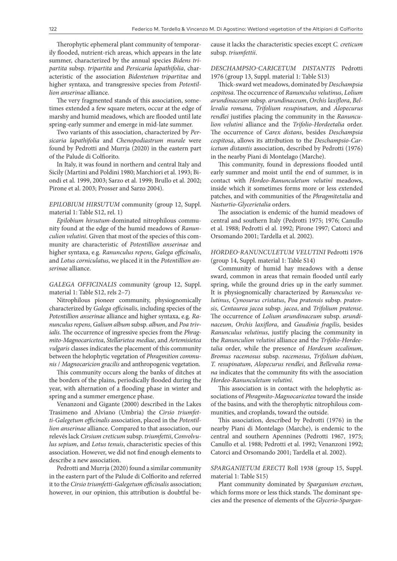Therophytic ephemeral plant community of temporarily flooded, nutrient-rich areas, which appears in the late summer, characterized by the annual species *Bidens tripartita* subsp. *tripartita* and *Persicaria lapathifolia*, characteristic of the association *Bidentetum tripartitae* and higher syntaxa, and transgressive species from *Potentillion anserinae* alliance.

The very fragmented stands of this association, sometimes extended a few square meters, occur at the edge of marshy and humid meadows, which are flooded until late spring-early summer and emerge in mid-late summer.

Two variants of this association, characterized by *Persicaria lapathifolia* and *Chenopodiastrum murale* were found by Pedrotti and Murrja (2020) in the eastern part of the Palude di Colfiorito.

In Italy, it was found in northern and central Italy and Sicily (Martini and Poldini 1980; Marchiori et al. 1993; Biondi et al. 1999, 2003; Sarzo et al. 1999; Brullo et al. 2002; Pirone et al. 2003; Prosser and Sarzo 2004).

*EPILOBIUM HIRSUTUM* community (group 12, Suppl. material 1: Table S12, rel. 1)

*Epilobium hirsutum*-dominated nitrophilous community found at the edge of the humid meadows of *Ranunculion velutini*. Given that most of the species of this community are characteristic of *Potentillion anserinae* and higher syntaxa, e.g. *Ranunculus repens*, *Galega officinalis*, and *Lotus corniculatus*, we placed it in the *Potentillion anserinae* alliance.

*GALEGA OFFICINALIS* community (group 12, Suppl. material 1: Table S12, rels 2–7)

Nitrophilous pioneer community, physiognomically characterized by *Galega officinalis*, including species of the *Potentillion anserinae* alliance and higher syntaxa, e.g. *Ranunculus repens*, *Galium album* subsp. *album*, and *Poa trivialis*. The occurrence of ingressive species from the *Phragmito-Magnocaricetea*, *Stellarietea mediae*, and *Artemisietea vulgaris* classes indicates the placement of this community between the helophytic vegetation of *Phragmition communis* / *Magnocaricion gracilis* and anthropogenic vegetation.

This community occurs along the banks of ditches at the borders of the plains, periodically flooded during the year, with alternation of a flooding phase in winter and spring and a summer emergence phase.

Venanzoni and Gigante (2000) described in the Lakes Trasimeno and Alviano (Umbria) the *Cirsio triumfetti-Galegetum officinalis* association, placed in the *Potentillion anserinae* alliance. Compared to that association, our relevés lack *Cirsium creticum* subsp. *triumfettii*, *Convolvulus sepium*, and *Lotus tenuis*, characteristic species of this association. However, we did not find enough elements to describe a new association.

Pedrotti and Murrja (2020) found a similar community in the eastern part of the Palude di Colfiorito and referred it to the *Cirsio triumfetti-Galegetum officinalis* association; however, in our opinion, this attribution is doubtful because it lacks the characteristic species except *C. creticum* subsp. *triumfettii*.

*DESCHAMPSIO-CARICETUM DISTANTIS* Pedrotti 1976 (group 13, Suppl. material 1: Table S13)

Thick-sward wet meadows, dominated by *Deschampsia cespitosa*. The occurrence of *Ranunculus velutinus*, *Lolium arundinaceum* subsp. *arundinaceum*, *Orchis laxiflora*, *Bellevalia romana*, *Trifolium resupinatum*, and *Alopecurus rendlei* justifies placing the community in the *Ranunculion velutini* alliance and the *Trifolio-Hordeetalia* order. The occurrence of *Carex distans*, besides *Deschampsia cespitosa*, allows its attribution to the *Deschampsio-Caricetum distantis* association, described by Pedrotti (1976) in the nearby Piani di Montelago (Marche).

This community, found in depressions flooded until early summer and moist until the end of summer, is in contact with *Hordeo-Ranunculetum velutini* meadows, inside which it sometimes forms more or less extended patches, and with communities of the *Phragmitetalia* and *Nasturtio-Glycerietalia* orders.

The association is endemic of the humid meadows of central and southern Italy (Pedrotti 1975; 1976; Canullo et al. 1988; Pedrotti el al. 1992; Pirone 1997; Catorci and Orsomando 2001; Tardella et al. 2002).

#### *HORDEO-RANUNCULETUM VELUTINI* Pedrotti 1976 (group 14, Suppl. material 1: Table S14)

Community of humid hay meadows with a dense sward, common in areas that remain flooded until early spring, while the ground dries up in the early summer. It is physiognomically characterized by *Ranunculus velutinus*, *Cynosurus cristatus*, *Poa pratensis* subsp. *pratensis*, *Centaurea jacea* subsp. *jacea*, and *Trifolium pratense*. The occurrence of *Lolium arundinaceum* subsp. *arundinaceum*, *Orchis laxiflora*, and *Gaudinia fragilis*, besides *Ranunculus velutinus*, justify placing the community in the *Ranunculion velutini* alliance and the *Trifolio-Hordeetalia* order, while the presence of *Hordeum secalinum*, *Bromus racemosus* subsp. *racemosus*, *Trifolium dubium*, *T. resupinatum*, *Alopecurus rendlei*, and *Bellevalia romana* indicates that the community fits with the association *Hordeo-Ranunculetum velutini*.

This association is in contact with the helophytic associations of *Phragmito-Magnocaricetea* toward the inside of the basins, and with the therophytic nitrophilous communities, and croplands, toward the outside.

This association, described by Pedrotti (1976) in the nearby Piani di Montelago (Marche), is endemic to the central and southern Apennines (Pedrotti 1967, 1975; Canullo et al. 1988; Pedrotti et al. 1992; Venanzoni 1992; Catorci and Orsomando 2001; Tardella et al. 2002).

#### *SPARGANIETUM ERECTI* Roll 1938 (group 15, Suppl. material 1: Table S15)

Plant community dominated by *Sparganium erectum*, which forms more or less thick stands. The dominant species and the presence of elements of the *Glycerio-Spargan-*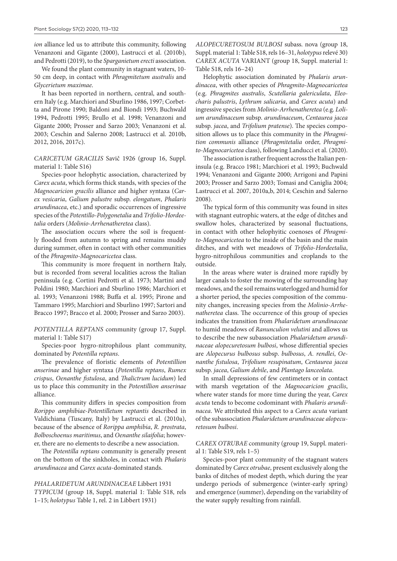*ion* alliance led us to attribute this community, following Venanzoni and Gigante (2000), Lastrucci et al. (2010b), and Pedrotti (2019), to the *Sparganietum erecti* association.

We found the plant community in stagnant waters, 10- 50 cm deep, in contact with *Phragmitetum australis* and *Glycerietum maximae*.

It has been reported in northern, central, and southern Italy (e.g. Marchiori and Sburlino 1986, 1997; Corbetta and Pirone 1990; Baldoni and Biondi 1993; Buchwald 1994, Pedrotti 1995; Brullo et al. 1998; Venanzoni and Gigante 2000; Prosser and Sarzo 2003; Venanzoni et al. 2003; Ceschin and Salerno 2008; Lastrucci et al. 2010b, 2012, 2016, 2017c).

*CARICETUM GRACILIS* Savič 1926 (group 16, Suppl. material 1: Table S16)

Species-poor helophytic association, characterized by *Carex acuta*, which forms thick stands, with species of the *Magnocaricion gracilis* alliance and higher syntaxa (*Carex vesicaria*, *Galium palustre* subsp. *elongatum*, *Phalaris arundinacea*, etc.) and sporadic occurrences of ingressive species of the *Potentillo-Polygonetalia* and *Trifolio-Hordeetalia* orders (*Molinio-Arrhenatheretea* class).

The association occurs where the soil is frequently flooded from autumn to spring and remains muddy during summer, often in contact with other communities of the *Phragmito-Magnocaricetea* class.

This community is more frequent in northern Italy, but is recorded from several localities across the Italian peninsula (e.g. Cortini Pedrotti et al. 1973; Martini and Poldini 1980; Marchiori and Sburlino 1986; Marchiori et al. 1993; Venanzoni 1988; Buffa et al. 1995; Pirone and Tammaro 1995; Marchiori and Sburlino 1997; Sartori and Bracco 1997; Bracco et al. 2000; Prosser and Sarzo 2003).

*POTENTILLA REPTANS* community (group 17, Suppl. material 1: Table S17)

Species-poor hygro-nitrophilous plant community, dominated by *Potentilla reptans*.

The prevalence of floristic elements of *Potentillion anserinae* and higher syntaxa (*Potentilla reptans*, *Rumex crispus*, *Oenanthe fistulosa*, and *Thalictrum lucidum*) led us to place this community in the *Potentillion anserinae* alliance.

This community differs in species composition from *Rorippo amphibiae-Potentilletum reptantis* described in Valdichiana (Tuscany, Italy) by Lastrucci et al. (2010a), because of the absence of *Rorippa amphibia*, *R. prostrata*, *Bolboschoenus maritimus*, and *Oenanthe silaifolia*; however, there are no elements to describe a new association.

The *Potentilla reptans* community is generally present on the bottom of the sinkholes, in contact with *Phalaris arundinacea* and *Carex acuta*-dominated stands.

*PHALARIDETUM ARUNDINACEAE* Libbert 1931 *TYPICUM* (group 18, Suppl. material 1: Table S18, rels 1–15; *holotypus* Table 1, rel. 2 in Libbert 1931)

*ALOPECURETOSUM BULBOSI* subass. nova (group 18, Suppl. material 1: Table S18, rels 16–31, *holotypus* relevé 30) *CAREX ACUTA* VARIANT (group 18, Suppl. material 1: Table S18, rels 16–24)

Helophytic association dominated by *Phalaris arundinacea*, with other species of *Phragmito-Magnocaricetea*  (e.g. *Phragmites australis*, *Scutellaria galericulata*, *Eleocharis palustris*, *Lythrum salicaria*, and *Carex acuta*) and ingressive species from *Molinio-Arrhenatheretea* (e.g. *Lolium arundinaceum* subsp. *arundinaceum*, *Centaurea jacea* subsp. *jacea*, and *Trifolium pratense*). The species composition allows us to place this community in the *Phragmition communis* alliance (*Phragmitetalia* order, *Phragmito-Magnocaricetea* class), following Landucci et al. (2020).

The association is rather frequent across the Italian peninsula (e.g. Bracco 1981; Marchiori et al. 1993; Buchwald 1994; Venanzoni and Gigante 2000; Arrigoni and Papini 2003; Prosser and Sarzo 2003; Tomasi and Caniglia 2004; Lastrucci et al. 2007, 2010a,b, 2014; Ceschin and Salerno 2008).

The typical form of this community was found in sites with stagnant eutrophic waters, at the edge of ditches and swallow holes, characterized by seasonal fluctuations, in contact with other helophyitic coenoses of *Phragmito-Magnocaricetea* to the inside of the basin and the main ditches, and with wet meadows of *Trifolio-Hordeetalia*, hygro-nitrophilous communities and croplands to the outside.

In the areas where water is drained more rapidly by larger canals to foster the mowing of the surrounding hay meadows, and the soil remains waterlogged and humid for a shorter period, the species composition of the community changes, increasing species from the *Molinio-Arrhenatheretea* class. The occurrence of this group of species indicates the transition from *Phalaridetum arundinaceae* to humid meadows of *Ranunculion velutini* and allows us to describe the new subassociation *Phalaridetum arundinaceae alopecuretosum bulbosi*, whose differential species are *Alopecurus bulbosus* subsp. *bulbosus*, *A. rendlei*, *Oenanthe fistulosa*, *Trifolium resupinatum*, *Centaurea jacea*  subsp. *jacea*, *Galium debile*, and *Plantago lanceolata*.

In small depressions of few centimeters or in contact with marsh vegetation of the *Magnocaricion gracilis*, where water stands for more time during the year, *Carex acuta* tends to become codominant with *Phalaris arundinacea*. We attributed this aspect to a *Carex acuta* variant of the subassociation *Phalaridetum arundinaceae alopecuretosum bulbosi*.

*CAREX OTRUBAE* community (group 19, Suppl. material 1: Table S19, rels 1–5)

Species-poor plant community of the stagnant waters dominated by *Carex otrubae*, present exclusively along the banks of ditches of modest depth, which during the year undergo periods of submergence (winter-early spring) and emergence (summer), depending on the variability of the water supply resulting from rainfall.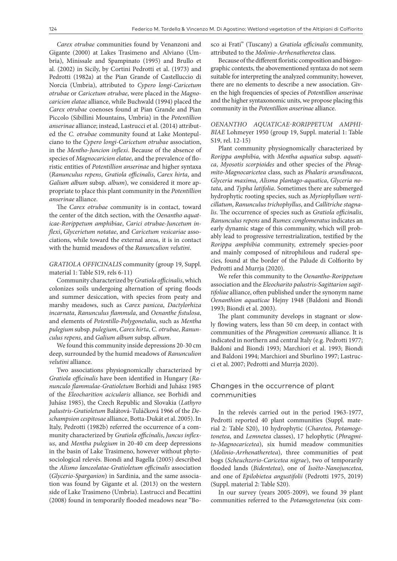*Carex otrubae* communities found by Venanzoni and Gigante (2000) at Lakes Trasimeno and Alviano (Umbria), Minissale and Spampinato (1995) and Brullo et al. (2002) in Sicily, by Cortini Pedrotti et al. (1973) and Pedrotti (1982a) at the Pian Grande of Castelluccio di Norcia (Umbria), attributed to *Cypero longi-Caricetum otrubae* or *Caricetum otrubae*, were placed in the *Magnocaricion elatae* alliance, while Buchwald (1994) placed the *Carex otrubae* coenoses found at Pian Grande and Pian Piccolo (Sibillini Mountains, Umbria) in the *Potentillion anserinae* alliance; instead, Lastrucci et al. (2014) attributed the *C. otrubae* community found at Lake Montepulciano to the *Cypero longi-Caricetum otrubae* association, in the *Mentho-Juncion inflexi*. Because of the absence of species of *Magnocaricion elatae*, and the prevalence of floristic entities of *Potentillion anserinae* and higher syntaxa (*Ranunculus repens*, *Gratiola officinalis*, *Carex hirta*, and *Galium album* subsp. *album*), we considered it more appropriate to place this plant community in the *Potentillion anserinae* alliance.

The *Carex otrubae* community is in contact, toward the center of the ditch section, with the *Oenantho aquaticae-Rorippetum amphibiae*, *Carici otrubae-Juncetum inflexi*, *Glycerietum notatae*, and *Caricetum vesicariae* associations, while toward the external areas, it is in contact with the humid meadows of the *Ranunculion velutini*.

*GRATIOLA OFFICINALIS* community (group 19, Suppl. material 1: Table S19, rels 6-11)

Community characterized by *Gratiola officinalis*, which colonizes soils undergoing alternation of spring floods and summer desiccation, with species from peaty and marshy meadows, such as *Carex panicea*, *Dactylorhiza incarnata*, *Ranunculus flammula*, and *Oenanthe fistulosa*, and elements of *Potentillo-Polygonetalia*, such as *Mentha pulegium* subsp. *pulegium*, *Carex hirta*, *C. otrubae*, *Ranunculus repens*, and *Galium album* subsp. *album*.

We found this community inside depressions 20-30 cm deep, surrounded by the humid meadows of *Ranunculion velutini* alliance.

Two associations physiognomically characterized by *Gratiola officinalis* have been identified in Hungary (*Ranunculo flammulae-Gratioletum* Borhidi and Juhász 1985 of the *Eleocharition acicularis* alliance, see Borhidi and Juhász 1985), the Czech Republic and Slovakia (*Lathyro palustris-Gratioletum* Balátová-Tuláčková 1966 of the *Deschampsion cespitosae* alliance, Botta-Dukát et al. 2005). In Italy, Pedrotti (1982b) referred the occurrence of a community characterized by *Gratiola officinalis*, *Juncus inflexus*, and *Mentha pulegium* in 20-40 cm deep depressions in the basin of Lake Trasimeno, however without phytosociological relevés. Biondi and Bagella (2005) described the *Alismo lanceolatae-Gratioletum officinalis* association (*Glycerio-Sparganion*) in Sardinia, and the same association was found by Gigante et al. (2013) on the western side of Lake Trasimeno (Umbria). Lastrucci and Becattini (2008) found in temporarily flooded meadows near "Bosco ai Frati" (Tuscany) a *Gratiola officinalis* community, attributed to the *Molinio-Arrhenatheretea* class.

Because of the different floristic composition and biogeographic contexts, the abovementioned syntaxa do not seem suitable for interpreting the analyzed community; however, there are no elements to describe a new association. Given the high frequencies of species of *Potentillion anserinae* and the higher syntaxonomic units, we propose placing this community in the *Potentillion anserinae* alliance.

#### *OENANTHO AQUATICAE-RORIPPETUM AMPHI-BIAE* Lohmeyer 1950 (group 19, Suppl. material 1: Table S19, rel. 12-15)

Plant community physiognomically characterized by *Rorippa amphibia*, with *Mentha aquatica* subsp. *aquatica*, *Myosotis scorpioides* and other species of the *Phragmito-Magnocaricetea* class, such as *Phalaris arundinacea*, *Glyceria maxima*, *Alisma plantago-aquatica*, *Glyceria notata*, and *Typha latifolia*. Sometimes there are submerged hydrophytic rooting species, such as *Myriophyllum verticillatum*, *Ranunculus trichophyllus*, and *Callitriche stagnalis*. The occurrence of species such as *Gratiola officinalis*, *Ranunculus repens* and *Rumex conglomeratus* indicates an early dynamic stage of this community, which will probably lead to progressive terrestrialization, testified by the *Rorippa amphibia* community, extremely species-poor and mainly composed of nitrophilous and ruderal species, found at the border of the Palude di Colfiorito by Pedrotti and Murrja (2020).

We refer this community to the *Oenantho-Rorippetum* association and the *Eleocharito palustris-Sagittarion sagittifoliae* alliance, often published under the synonym name *Oenanthion aquaticae* Hejny 1948 (Baldoni and Biondi 1993; Biondi et al. 2003).

The plant community develops in stagnant or slowly flowing waters, less than 50 cm deep, in contact with communities of the *Phragmition communis* alliance. It is indicated in northern and central Italy (e.g. Pedrotti 1977; Baldoni and Biondi 1993; Marchiori et al. 1993; Biondi and Baldoni 1994; Marchiori and Sburlino 1997; Lastrucci et al. 2007; Pedrotti and Murrja 2020).

#### Changes in the occurrence of plant communities

In the relevés carried out in the period 1963-1977, Pedrotti reported 40 plant communities (Suppl. material 2: Table S20), 10 hydrophytic (*Charetea*, *Potamogetonetea*, and *Lemnetea* classes), 17 helophytic (*Phragmito-Magnocaricetea*), six humid meadow communities (*Molinio-Arrhenatheretea*), three communities of peat bogs (*Scheuchzerio-Caricetea nigrae*), two of temporarily flooded lands (*Bidentetea*), one of *Isoëto-Nanojuncetea*, and one of *Epilobietea angustifolii* (Pedrotti 1975, 2019) (Suppl. material 2: Table S20).

In our survey (years 2005-2009), we found 39 plant communities referred to the *Potamogetonetea* (six com-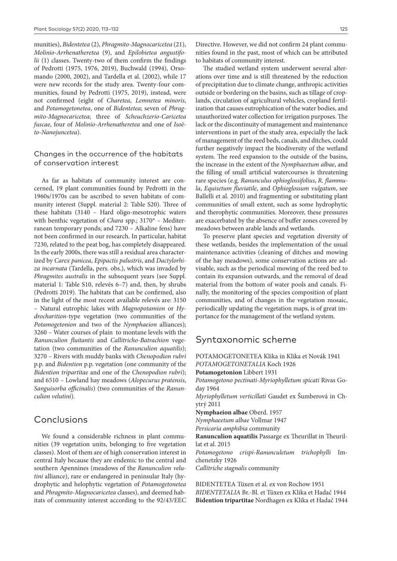munities), *Bidentetea* (2), *Phragmito-Magnocaricetea* (21), *Molinio-Arrhenatheretea* (9), and *Epilobietea angustifolii* (1) classes. Twenty-two of them confirm the findings of Pedrotti (1975, 1976, 2019), Buchwald (1994), Orsomando (2000, 2002), and Tardella et al. (2002), while 17 were new records for the study area. Twenty-four communities, found by Pedrotti (1975, 2019), instead, were not confirmed (eight of *Charetea*, *Lemnetea minoris*, and *Potamogetonetea*, one of *Bidentetea*; seven of *Phragmito-Magnocaricetea*; three of *Scheuchzerio-Caricetea fuscae*, four of *Molinio-Arrhenatheretea* and one of *Isoëto-Nanojuncetea*).

#### Changes in the occurrence of the habitats of conservation interest

As far as habitats of community interest are concerned, 19 plant communities found by Pedrotti in the 1960s/1970s can be ascribed to seven habitats of community interest (Suppl. material 2: Table S20). Three of these habitats (3140 – Hard oligo-mesotrophic waters with benthic vegetation of *Chara* spp.; 3170\* – Mediterranean temporary ponds; and 7230 – Alkaline fens) have not been confirmed in our research. In particular, habitat 7230, related to the peat bog, has completely disappeared. In the early 2000s, there was still a residual area characterized by *Carex panicea*, *Epipactis palustris*, and *Dactylorhiza incarnata* (Tardella, pers. obs.), which was invaded by *Phragmites australis* in the subsequent years (see Suppl. material 1: Table S10, relevés 6–7) and, then, by shrubs (Pedrotti 2019). The habitats that can be confirmed, also in the light of the most recent available relevés are: 3150 – Natural eutrophic lakes with *Magnopotamion* or *Hydrocharition*-type vegetation (two communities of the *Potamogetonion* and two of the *Nymphaeion* alliances); 3260 – Water courses of plain to montane levels with the *Ranunculion fluitantis* and *Callitricho-Batrachion* vegetation (two communities of the *Ranunculion aquatilis*); 3270 – Rivers with muddy banks with *Chenopodion rubri*  p.p. and *Bidention* p.p. vegetation (one community of the *Bidention tripartitae* and one of the *Chenopodion rubri*); and 6510 – Lowland hay meadows (*Alopecurus pratensis*, *Sanguisorba officinalis*) (two communities of the *Ranunculion velutini*).

# Conclusions

We found a considerable richness in plant communities (39 vegetation units, belonging to five vegetation classes). Most of them are of high conservation interest in central Italy because they are endemic to the central and southern Apennines (meadows of the *Ranunculion velutini* alliance), rare or endangered in peninsular Italy (hydrophytic and helophytic vegetation of *Potamogetonetea* and *Phragmito-Magnocaricetea* classes), and deemed habitats of community interest according to the 92/43/EEC

Directive. However, we did not confirm 24 plant communities found in the past, most of which can be attributed to habitats of community interest.

The studied wetland system underwent several alterations over time and is still threatened by the reduction of precipitation due to climate change, anthropic activities outside or bordering on the basins, such as tillage of croplands, circulation of agricultural vehicles, cropland fertilization that causes eutrophication of the water bodies, and unauthorized water collection for irrigation purposes. The lack or the discontinuity of management and maintenance interventions in part of the study area, especially the lack of management of the reed beds, canals, and ditches, could further negatively impact the biodiversity of the wetland system. The reed expansion to the outside of the basins, the increase in the extent of the *Nymphaeetum albae*, and the filling of small artificial watercourses is threatening rare species (e.g. *Ranunculus ophioglossifolius*, *R. flammula*, *Equisetum fluviatile*, and *Ophioglossum vulgatum*, see Ballelli et al. 2010) and fragmenting or substituting plant communities of small extent, such as some hydrophytic and therophytic communities. Moreover, these pressures are exacerbated by the absence of buffer zones covered by meadows between arable lands and wetlands.

To preserve plant species and vegetation diversity of these wetlands, besides the implementation of the usual maintenance activities (cleaning of ditches and mowing of the hay meadows), some conservation actions are advisable, such as the periodical mowing of the reed bed to contain its expansion outwards, and the removal of dead material from the bottom of water pools and canals. Finally, the monitoring of the species composition of plant communities, and of changes in the vegetation mosaic, periodically updating the vegetation maps, is of great importance for the management of the wetland system.

# Syntaxonomic scheme

POTAMOGETONETEA Klika in Klika et Novák 1941 *POTAMOGETONETALIA* Koch 1926 **Potamogetonion** Libbert 1931 *Potamogetono pectinati-Myriophylletum spicati* Rivas Goday 1964 *Myriophylletum verticillati* Gaudet ex Šumberová in Chytrý 2011 **Nymphaeion albae** Oberd. 1957 *Nymphaeetum albae* Vollmar 1947 *Persicaria amphibia* community **Ranunculion aquatilis** Passarge ex Theurillat in Theurillat et al. 2015 *Potamogetono crispi-Ranunculetum trichophylli* Imchenetzky 1926 *Callitriche stagnalis* community

BIDENTETEA Tüxen et al. ex von Rochow 1951 *BIDENTETALIA* Br.-Bl. et Tüxen ex Klika et Hadač 1944 **Bidention tripartitae** Nordhagen ex Klika et Hadač 1944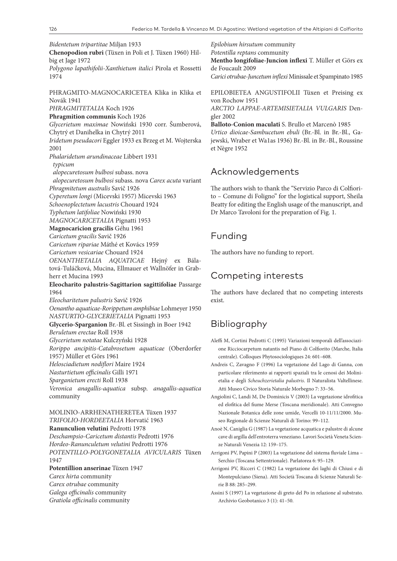*Bidentetum tripartitae* Miljan 1933

**Chenopodion rubri** (Tüxen in Poli et J. Tüxen 1960) Hilbig et Jage 1972

*Polygono lapathifolii-Xanthietum italici* Pirola et Rossetti 1974

PHRAGMITO-MAGNOCARICETEA Klika in Klika et Novák 1941

*PHRAGMITETALIA* Koch 1926

**Phragmition communis** Koch 1926

*Glycerietum maximae* Nowiński 1930 corr. Šumberová, Chytrý et Danihelka in Chytrý 2011

*Iridetum pseudacori* Eggler 1933 ex Brzeg et M. Wojterska 2001

*Phalaridetum arundinaceae* Libbert 1931

*typicum*

*alopecuretosum bulbosi* subass. nova

*alopecuretosum bulbosi* subass. nova *Carex acuta* variant

*Phragmitetum australis* Savič 1926

*Cyperetum longi* (Micevski 1957) Micevski 1963

*Schoenoplectetum lacustris* Chouard 1924

*Typhetum latifoliae* Nowiński 1930

*MAGNOCARICETALIA* Pignatti 1953

**Magnocaricion gracilis** Géhu 1961

*Caricetum gracilis* Savič 1926

*Caricetum ripariae* Máthé et Kovács 1959

*Caricetum vesicariae* Chouard 1924

*OENANTHETALIA AQUATICAE* Hejný ex Bálatová-Tuláčková, Mucina, Ellmauer et Wallnöfer in Grabherr et Mucina 1993

**Eleocharito palustris-Sagittarion sagittifoliae** Passarge 1964

*Eleocharitetum palustris* Savič 1926

*Oenantho aquaticae-Rorippetum amphibiae* Lohmeyer 1950 *NASTURTIO-GLYCERIETALIA* Pignatti 1953

**Glycerio-Sparganion** Br.-Bl. et Sissingh in Boer 1942

*Beruletum erectae* Roll 1938 *Glycerietum notatae* Kulczyński 1928

*Rorippo ancipitis-Catabrosetum aquaticae* (Oberdorfer

1957) Müller et Görs 1961

*Helosciadietum nodiflori* Maire 1924

*Nasturtietum officinalis* Gilli 1971

*Sparganietum erecti* Roll 1938

*Veronica anagallis-aquatica* subsp. *anagallis-aquatica* community

MOLINIO-ARRHENATHERETEA Tüxen 1937 *TRIFOLIO-HORDEETALIA* Horvatić 1963 **Ranunculion velutini** Pedrotti 1978 *Deschampsio-Caricetum distantis* Pedrotti 1976 *Hordeo-Ranunculetum velutini* Pedrotti 1976 *POTENTILLO-POLYGONETALIA AVICULARIS* Tüxen 1947

**Potentillion anserinae** Tüxen 1947

*Carex hirta* community

*Carex otrubae* community

*Galega officinalis* community

*Gratiola officinalis* community

*Epilobium hirsutum* community *Potentilla reptans* community **Mentho longifoliae-Juncion inflexi** T. Müller et Görs ex de Foucault 2009 *Carici otrubae-Juncetum inflexi* Minissale et Spampinato 1985 EPILOBIETEA ANGUSTIFOLII Tüxen et Preising ex

von Rochow 1951 *ARCTIO LAPPAE-ARTEMISIETALIA VULGARIS* Dengler 2002

**Balloto-Conion maculati** S. Brullo et Marcenò 1985 *Urtico dioicae-Sambucetum ebuli* (Br.-Bl. in Br.-Bl., Gajewski, Wraber et Wa1as 1936) Br.-Bl. in Br.-Bl., Roussine et Nègre 1952

# Acknowledgements

The authors wish to thank the "Servizio Parco di Colfiorito – Comune di Foligno" for the logistical support, Sheila Beatty for editing the English usage of the manuscript, and Dr Marco Tavoloni for the preparation of Fig. 1.

# Funding

The authors have no funding to report.

# Competing interests

The authors have declared that no competing interests exist.

# Bibliography

Aleffi M, Cortini Pedrotti C (1995) Variazioni temporali dell'associazione Ricciocarpetum natantis nel Piano di Colfiorito (Marche, Italia centrale). Colloques Phytosociologiques 24: 601–608.

Andreis C, Zavagno F (1996) La vegetazione del Lago di Ganna, con particolare riferimento ai rapporti spaziali tra le cenosi dei Molinietalia e degli *Scheuchzerietalia palustris*. Il Naturalista Valtellinese. Atti Museo Civico Storia Naturale Morbegno 7: 33–56.

Angiolini C, Landi M, De Dominicis V (2003) La vegetazione idrofitica ed elofitica del fiume Merse (Toscana meridionale). Atti Convegno Nazionale Botanica delle zone umide, Vercelli 10-11/11/2000. Museo Regionale di Scienze Naturali di Torino: 99–112.

Anoè N, Caniglia G (1987) La vegetazione acquatica e palustre di alcune cave di argilla dell'entroterra veneziano. Lavori Società Veneta Scienze Naturali Venezia 12: 159–175.

Arrigoni PV, Papini P (2003) La vegetazione del sistema fluviale Lima – Serchio (Toscana Settentrionale). Parlatorea 6: 95–129.

Arrigoni PV, Ricceri C (1982) La vegetazione dei laghi di Chiusi e di Montepulciano (Siena). Atti Società Toscana di Scienze Naturali Serie B 88: 285–299.

Assini S (1997) La vegetazione di greto del Po in relazione al substrato. Archivio Geobotanico 3 (1): 41–50.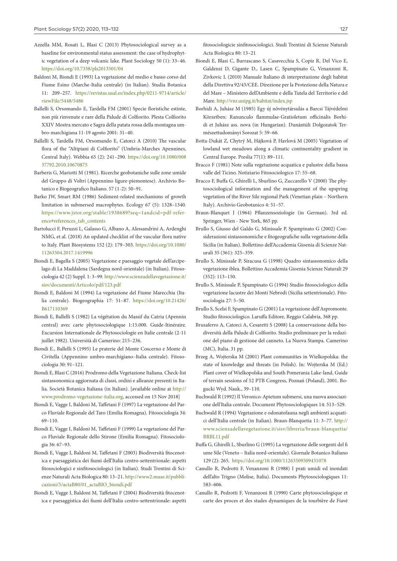- Azzella MM, Rosati L, Blasi C (2013) Phytosociological survey as a baseline for environmental status assessment: the case of hydrophytic vegetation of a deep volcanic lake. Plant Sociology 50 (1): 33–46. <https://doi.org/10.7338/pls2013501/04>
- Baldoni M, Biondi E (1993) La vegetazione del medio e basso corso del Fiume Esino (Marche-Italia centrale) (in Italian). Studia Botanica 11: 209–257. [https://revistas.usal.es/index.php/0211-9714/article/](https://revistas.usal.es/index.php/0211-9714/article/viewFile/5448/5486) [viewFile/5448/5486](https://revistas.usal.es/index.php/0211-9714/article/viewFile/5448/5486)
- Ballelli S, Orsomando E, Tardella FM (2001) Specie floristiche estinte, non più rinvenute e rare della Palude di Colfiorito. Plesta Colfiorito XXIV Mostra mercato e Sagra della patata rossa della montagna umbro-marchigiana 11-19 agosto 2001: 31–40.
- Ballelli S, Tardella FM, Orsomando E, Catorci A (2010) The vascular flora of the "Altipiani di Colfiorito" (Umbria-Marches Apennines, Central Italy). Webbia 65 (2): 241–290. [https://doi.org/10.1080/008](https://doi.org/10.1080/00837792.2010.10670875) [37792.2010.10670875](https://doi.org/10.1080/00837792.2010.10670875)
- Barberis G, Mariotti M (1981). Ricerche geobotaniche sulle zone umide del Gruppo di Voltri (Appennino ligure-piemontese). Archivio Botanico e Biogeografico Italiano. 57 (1-2): 50–91.
- Barko JW, Smart RM (1986) Sediment‐related mechanisms of growth limitation in submersed macrophytes. Ecology 67 (5): 1328–1340. [https://www.jstor.org/stable/1938689?seq=1andcid=pdf-refer](https://www.jstor.org/stable/1938689?seq=1andcid=pdf-reference#references_tab_contents)[ence#references\\_tab\\_contents](https://www.jstor.org/stable/1938689?seq=1andcid=pdf-reference#references_tab_contents)
- Bartolucci F, Peruzzi L, Galasso G, Albano A, Alessandrini A, Ardenghi NMG, et al. (2018) An updated checklist of the vascular flora native to Italy. Plant Biosystems 152 (2): 179–303. [https://doi.org/10.1080/](https://doi.org/10.1080/11263504.2017.1419996) [11263504.2017.1419996](https://doi.org/10.1080/11263504.2017.1419996)
- Biondi E, Bagella S (2005) Vegetazione e paesaggio vegetale dell'arcipelago di La Maddalena (Sardegna nord-orientale) (in Italian). Fitosociologia 42 (2) Suppl. 1: 3–99. [http://www.scienzadellavegetazione.it/](http://www.scienzadellavegetazione.it/sisv/documenti/Articolo/pdf/123.pdf) [sisv/documenti/Articolo/pdf/123.pdf](http://www.scienzadellavegetazione.it/sisv/documenti/Articolo/pdf/123.pdf)
- Biondi E, Baldoni M (1994) La vegetazione del Fiume Marecchia (Italia centrale). Biogeographia 17: 51–87. [https://doi.org/10.21426/](https://doi.org/10.21426/B617110369) [B617110369](https://doi.org/10.21426/B617110369)
- Biondi E, Ballelli S (1982) La végétation du Massif du Catria (Apennin central) avec carte phytosociologique 1:15.000. Guide-Itinéraire. Excursion Internationale de Phytosociologie en Italie centrale (2-11 juillet 1982). Università di Camerino: 215–236.
- Biondi E., Ballelli S (1995) Le praterie del Monte Coscerno e Monte di Civitella (Appennino umbro-marchigiano–Italia centrale). Fitosociologia 30: 91–121.
- Biondi E, Blasi C (2016) Prodromo della Vegetazione Italiana. Check-list sintassonomica aggiornata di classi, ordini e alleanze presenti in Italia. Società Botanica Italiana (in Italian). [available online at [http://](http://www.prodromo-vegetazione-italia.org) [www.prodromo-vegetazione-italia.org](http://www.prodromo-vegetazione-italia.org), accessed on 15 Nov 2018]
- Biondi E, Vagge I, Baldoni M, Taffetani F (1997) La vegetazione del Parco Fluviale Regionale del Taro (Emilia Romagna). Fitosociologia 34: 69–110.
- Biondi E, Vagge I, Baldoni M, Taffetani F (1999) La vegetazione del Parco Fluviale Regionale dello Stirone (Emilia Romagna). Fitosociologia 36: 67–93.
- Biondi E, Vagge I, Baldoni M, Taffetani F (2003) Biodiversità fitocenotica e paesaggistica dei fiumi dell'Italia centro-settentrionale: aspetti fitosociologici e sinfitosociologici (in Italian). Studi Trentini di Scienze Naturali Acta Biologica 80: 13–21. [http://www2.muse.it/pubbli](http://www2.muse.it/pubblicazioni/5/actaB80/01_actaBIO_biondi.pdf)[cazioni/5/actaB80/01\\_actaBIO\\_biondi.pdf](http://www2.muse.it/pubblicazioni/5/actaB80/01_actaBIO_biondi.pdf)
- Biondi E, Vagge I, Baldoni M, Taffetani F (2004) Biodiversità fitocenotica e paesaggistica dei fiumi dell'Italia centro-settentrionale: aspetti

fitosociologicie sinfitosociologici. Studi Trentini di Scienze Naturali Acta Biologica 80: 13–21

- Biondi E, Blasi C, Burrascano S, Casavecchia S, Copiz R, Del Vico E, Galdenzi D, Gigante D., Lasen C, Spampinato G, Venanzoni R, Zivkovic L (2010) Manuale Italiano di interpretazione degli habitat della Direttiva 92/43/CEE. Direzione per la Protezione della Natura e del Mare – Ministero dell'Ambiente e della Tutela del Territorio e del Mare.<http://vnr.unipg.it/habitat/index.jsp>
- Borhidi A, Juhász M (1985) Egy új növénytársulás a Barcsi Tájvédelmi Körzetben: Ranunculo flammulae-Gratioletum officinalis Borhidi et Juhász ass. nova (in Hungarian). Dunántúli Dolgozatok Természettudományi Sorozat 5: 59–66.
- Botta-Dukát Z, Chytrý M, Hájková P, Havlová M (2005) Vegetation of lowland wet meadows along a climatic continentality gradient in Central Europe. Preslia 77(1): 89–111.
- Bracco F (1981) Note sulla vegetazione acquatica e palustre della bassa valle del Ticino. Notiziario Fitosociologico 17: 55–68.
- Bracco F, Buffa G, Ghirelli L, Sburlino G, Zuccarello V (2000) The phytosociological information and the management of the upspring vegetation of the River Sile regional Park (Venetian plain – Northern Italy). Archivio Geobotanico 4: 51–57.
- Braun-Blanquet J (1964) Pflanzensoziologie (in German). 3rd ed. Springer, Wien - New York, 865 pp.
- Brullo S, Giusso del Galdo G, Minissale P, Spampinato G (2002) Considerazioni sintassonomiche e fitogeografiche sulla vegetazione della Sicilia (in Italian). Bollettino dell'Accademia Gioenia di Scienze Naturali 35 (361): 325–359.
- Brullo S, Minissale P, Siracusa G (1998) Quadro sintassonomico della vegetazione iblea. Bollettino Accademia Gioenia Scienze Naturali 29 (352): 113–150.
- Brullo S, Minissale P, Spampinato G (1994) Studio fitosociologico della vegetazione lacustre dei Monti Nebrodi (Sicilia settentrionale). Fitosociologia 27: 5–50.
- Brullo S, Scelsi F, Spampinato G (2001) La vegetazione dell'Aspromonte. Studio fitosociologico. Laruffa Editore, Reggio Calabria, 368 pp.
- Brusaferro A, Catorci A, Cesaretti S (2008) La conservazione della biodiversità della Palude di Colfiorito. Studio preliminare per la redazione del piano di gestione del canneto. La Nuova Stampa. Camerino (MC), Italia. 31 pp.
- Brzeg A, Wojterska M (2001) Plant communities in Wielkopolska: the state of knowledge and threats (in Polish). In: Wojterska M (Ed.) Plant cover of Wielkopolska and South Pomerania Lake-land, Guide of terrain sessions of 52 PTB Congress, Poznań (Poland), 2001. Bogucki Wyd. Nauk., 39–110.
- Buchwald R (1992) Il Veronico-Apietum submersi, una nuova associazione dell'Italia centrale. Document Phytosociologiques 14: 513–529.
- Buchwald R (1994) Vegetazione e odonatofauna negli ambienti acquatici dell'Italia centrale (in Italian). Braun-Blanquetia 11: 3–77. [http://](http://www.scienzadellavegetazione.it/sisv/libreria/braun-blanquetia/BRBL11.pdf) [www.scienzadellavegetazione.it/sisv/libreria/braun-blanquetia/](http://www.scienzadellavegetazione.it/sisv/libreria/braun-blanquetia/BRBL11.pdf) [BRBL11.pdf](http://www.scienzadellavegetazione.it/sisv/libreria/braun-blanquetia/BRBL11.pdf)
- Buffa G, Ghirelli L, Sburlino G (1995) La vegetazione delle sorgenti del fi ume Sile (Veneto – Italia nord-orientale). Giornale Botanico Italiano 129 (2): 265. <https://doi.org/10.1080/11263509509431078>
- Canullo R, Pedrotti F, Venanzoni R (1988) I prati umidi ed inondati dell'alto Trigno (Molise, Italia). Documents Phytosociologiques 11: 583–606.
- Canullo R, Pedrotti F, Venanzoni R (1990) Carte phytosociologique et carte des proces et des stades dynamiques de la tourbière de Fiavé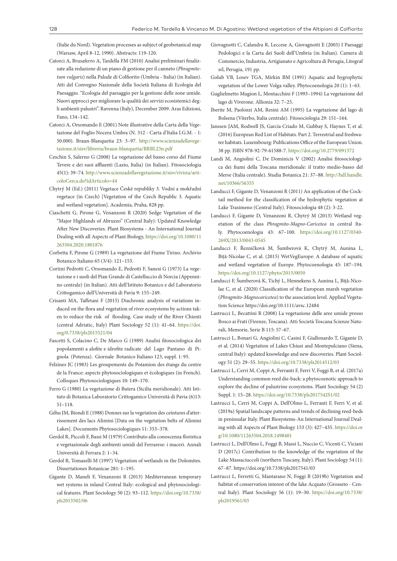(Italie du Nord). Vegetation processes as subject of geobotanical map (Warsaw, April 8-12, 1990). Abstracts: 119-120.

- Catorci A, Brusaferro A, Tardella FM (2010) Analisi preliminari finalizzate alla redazione di un piano di gestione per il canneto (*Phragmitetum vulgaris*) nella Palude di Colfiorito (Umbria - Italia) (in Italian). Atti del Convegno Nazionale della Società Italiana di Ecologia del Paesaggio. "Ecologia del paesaggio per la gestione delle zone umide. Nuovi approcci per migliorare la qualità dei servizi ecosistemici degli ambienti palustri". Ravenna (Italy), December 2009. Aras Edizioni, Fano, 134–142.
- Catorci A, Orsomando E (2001) Note illustrative della Carta della Vegetazione del Foglio Nocera Umbra (N. 312 - Carta d'Italia I.G.M. - 1: 50.000). Braun-Blanquetia 23: 3–97. [http://www.scienzadellavege](http://www.scienzadellavegetazione.it/sisv/libreria/braun-blanquetia/BRBL23n.pdf)[tazione.it/sisv/libreria/braun-blanquetia/BRBL23n.pdf](http://www.scienzadellavegetazione.it/sisv/libreria/braun-blanquetia/BRBL23n.pdf)
- Ceschin S, Salerno G (2008) La vegetazione del basso corso del Fiume Tevere e dei suoi affluenti (Lazio, Italia) (in Italian). Fitosociologia 45(1): 39–74. [http://www.scienzadellavegetazione.it/sisv/rivista/arti](http://www.scienzadellavegetazione.it/sisv/rivista/articoloCerca.do?idArticolo=44)[coloCerca.do?idArticolo=44](http://www.scienzadellavegetazione.it/sisv/rivista/articoloCerca.do?idArticolo=44)
- Chytrý M (Ed.) (2011) Vegetace České republiky 3. Vodní a mokřadní vegetace (in Czech) [Vegetation of the Czech Republic 3. Aquatic and wetland vegetation]. Academia, Praha, 828 pp.
- Ciaschetti G, Pirone G, Venanzoni R (2020) Sedge Vegetation of the "Major Highlands of Abruzzo" (Central Italy): Updated Knowledge After New Discoveries. Plant Biosystems - An International Journal Dealing with all Aspects of Plant Biology, [https://doi.org/10.1080/11](https://doi.org/10.1080/11263504.2020.1801876) [263504.2020.1801876](https://doi.org/10.1080/11263504.2020.1801876)
- Corbetta F, Pirone G (1989) La vegetazione del Fiume Tirino. Archivio Botanico Italiano 65 (3/4): 121–153.
- Cortini Pedrotti C, Orsomando E, Pedrotti F, Sanesi G (1973) La vegetazione e i suoli del Pian Grande di Castelluccio di Norcia (Appennino centrale) (in Italian). Atti dell'Istituto Botanico e del Laboratorio Crittogamico dell'Università di Pavia 9: 155–249.
- Crisanti MA, Taffetani F (2015) Diachronic analysis of variations induced on the flora and vegetation of river ecosystems by actions taken to reduce the risk of flooding. Case study of the River Chienti (central Adriatic, Italy) Plant Sociology 52 (1): 41–64. [https://doi.](https://doi.org/0.7338/pls2015521/04) [org/0.7338/pls2015521/04](https://doi.org/0.7338/pls2015521/04)
- Fascetti S, Colacino C, De Marco G (1989) Analisi fitosociologica dei popolamenti a alofite e idrofite radicate del Lago Pantano di Pignola (Potenza). Giornale Botanico Italiano 123, suppl. 1: 95.
- Felzines JC (1983) Les groupements du Potamion des étangs du centre de la France: aspects phytosociologiques et écologiques (in French). Colloques Phytosociologiques 10: 149–170.
- Ferro G (1980) La vegetazione di Butera (Sicilia meridionale). Atti Istituto di Botanica Laboratorio Crittogamico Università di Pavia (6)13: 51–118.
- Géhu JM, Biondi E (1988) Donnes sur la vegetation des ceintures d'atterrissement des lacs Alimini [Data on the vegetation belts of Alimini Lakes]. Documents Phytosociologiques 11: 353–378.
- Gerdol R, Piccoli F, Bassi M (1979) Contributo alla conoscenza floristica e vegetazionale degli ambienti umidi del Ferrarese: i maceri. Annali Università di Ferrara 2: 1–34.
- Gerdol R, Tomaselli M (1997) Vegetation of wetlands in the Dolomites. Dissertationes Botanicae 281: 1–195.
- Gigante D, Maneli F, Venanzoni R (2013) Mediterranean temporary wet systems in inland Central Italy: ecological and phytosociological features. Plant Sociology 50 (2): 93–112. [https://doi.org/10.7338/](https://doi.org/10.7338/pls2013502/06) [pls2013502/06](https://doi.org/10.7338/pls2013502/06)
- Giovagnotti C, Calandra R, Leccese A, Giovagnotti E (2003) I Paesaggi Pedologici e la Carta dei Suoli dell'Umbria (in Italian). Camera di Commercio, Industria, Artigianato e Agricoltura di Perugia, Litograf srl, Perugia, 191 pp.
- Golub VB, Losev TGA, Mirkin BM (1991) Aquatic and hygrophytic vegetation of the Lower Volga valley. Phytocoenologia 20 (1): 1–63.
- Guglielmetto Mugion L, Montacchini F (1993–1994) La vegetazione del lago di Viverone. Allionia 32: 7–25.
- Iberite M, Paolozzi AM, Resini AM (1995) La vegetazione del lago di Bolsena (Viterbo, Italia centrale). Fitosociologia 29: 151–164.
- Janssen JAM, Rodwell JS, García Criado M, Gubbay S, Haynes T, et al. (2016) European Red List of Habitats. Part 2. Terrestrial and freshwater habitats. Luxembourg: Publications Office of the European Union. 38 pp. ISBN 978-92-79-61588-7.<https://doi.org/10.2779/091372>
- Landi M, Angiolini C, De Dominicis V (2002) Analisi fitosociologica dei fiumi della Toscana meridionale: il tratto medio-basso del Merse (Italia centrale). Studia Botanica 21: 37–88. [http://hdl.handle.](http://hdl.handle.net/10366/56355) [net/10366/56355](http://hdl.handle.net/10366/56355)
- Landucci F, Gigante D, Venanzoni R (2011) An application of the Cocktail method for the classification of the hydrophytic vegetation at Lake Trasimeno (Central Italy). Fitosociologia 48 (2): 3-22.
- Landucci F, Gigante D, Venanzoni R, Chytrý M (2013) Wetland vegetation of the class *Phragmito-Magno-Caricetea* in central Italy. Phytocoenologia 43: 67–100. [https://doi.org/10.1127/0340-](https://doi.org/10.1127/0340-269X/2013/0043-0545) [269X/2013/0043-0545](https://doi.org/10.1127/0340-269X/2013/0043-0545)
- Landucci F, Řezníčková M, Šumberová K, Chytrý M, Aunina L, Biţă-Nicolae C, et al. (2015) WetVegEurope: A database of aquatic and wetland vegetation of Europe. Phytocoenologia 45: 187–194. <https://doi.org/10.1127/phyto/2015/0050>
- Landucci F, Šumberová K, Tichý L, Hennekens S, Aunina L, Biță‐Nicolae C, et al. (2020) Classification of the European marsh vegetation (*Phragmito‐Magnocaricetea*) to the association level. Applied Vegetation Science <https://doi.org/10.1111/avsc.12484>
- Lastrucci L, Becattini R (2008) La vegetazione delle aree umide presso Bosco ai Frati (Firenze, Toscana). Atti Società Toscana Scienze Naturali, Memorie, Serie B 115: 57–67.
- Lastrucci L, Bonari G, Angiolini C, Casini F, Giallonardo T, Gigante D, et al. (2014) Vegetation of Lakes Chiusi and Montepulciano (Siena, central Italy): updated knowledge and new discoveries. Plant Sociology 51 (2): 29–55. <https://doi.org/10.7338/pls2014512/03>
- Lastrucci L, Cerri M, Coppi A, Ferranti F, Ferri V, Foggi B, et al. (2017a) Understanding common reed die-back: a phytocoenotic approach to explore the decline of palustrine ecosystems. Plant Sociology 54 (2) Suppl. 1: 15–28. <https://doi.org/10.7338/pls2017542S1/02>
- Lastrucci L, Cerri M, Coppi A, Dell'Olmo L, Ferranti F, Ferri V, et al. (2019a) Spatial landscape patterns and trends of declining reed-beds in peninsular Italy. Plant Biosystems-An International Journal Dealing with all Aspects of Plant Biology 153 (3): 427–435. [https://doi.or](https://doi.org/10.1080/11263504.2018.1498401) [g/10.1080/11263504.2018.1498401](https://doi.org/10.1080/11263504.2018.1498401)
- Lastrucci L, Dell'Olmo L, Foggi B, Massi L, Nuccio C, Vicenti C, Viciani D (2017c) Contribution to the knowledge of the vegetation of the Lake Massaciuccoli (northern Tuscany, Italy). Plant Sociology 54 (1): 67–87. <https://doi.org/10.7338/pls2017541/03>
- Lastrucci L, Ferretti G, Mantarano N, Foggi B (2019b) Vegetation and habitat of conservation interest of the lake Acquato (Grosseto - Central Italy). Plant Sociology 56 (1): 19–30. [https://doi.org/10.7338/](https://doi.org/10.7338/pls2019561/03) [pls2019561/03](https://doi.org/10.7338/pls2019561/03)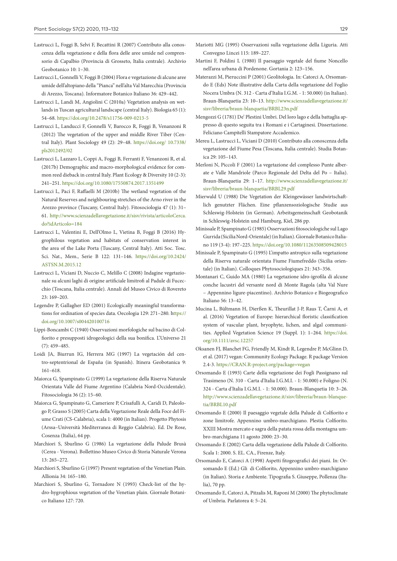- Lastrucci L, Foggi B, Selvi F, Becattini R (2007) Contributo alla conoscenza della vegetazione e della flora delle aree umide nel comprensorio di Capalbio (Provincia di Grosseto, Italia centrale). Archivio Geobotanico 10: 1–30.
- Lastrucci L, Gonnelli V, Foggi B (2004) Flora e vegetazione di alcune aree umide dell'altopiano della "Pianca" nell'alta Val Marecchia (Provincia di Arezzo, Toscana). Informatore Botanico Italiano 36: 429–442.
- Lastrucci L, Landi M, Angiolini C (2010a) Vegetation analysis on wetlands in Tuscan agricultural landscape (central Italy). Biologia 65 (1): 54–68. <https://doi.org/10.2478/s11756-009-0213-5>
- Lastrucci L, Landucci F, Gonnelli V, Barocco R, Foggi B, Venanzoni R (2012) The vegetation of the upper and middle River Tiber (Central Italy). Plant Sociology 49 (2): 29–48. <https://doi.org/>10.7338/ pls2012492/02
- Lastrucci L, Lazzaro L, Coppi A, Foggi B, Ferranti F, Venanzoni R, et al. (2017b) Demographic and macro-morphological evidence for common reed dieback in central Italy. Plant Ecology & Diversity 10 (2-3): 241–251.<https://doi.org/10.1080/17550874.2017.1351499>
- Lastrucci L, Paci F, Raffaelli M (2010b) The wetland vegetation of the Natural Reserves and neighbouring stretches of the Arno river in the Arezzo province (Tuscany, Central Italy). Fitosociologia 47 (1): 31– 61. [http://www.scienzadellavegetazione.it/sisv/rivista/articoloCerca.](http://www.scienzadellavegetazione.it/sisv/rivista/articoloCerca.do?idArticolo=184) [do?idArticolo=184](http://www.scienzadellavegetazione.it/sisv/rivista/articoloCerca.do?idArticolo=184)
- Lastrucci L, Valentini E, Dell'Olmo L, Vietina B, Foggi B (2016) Hygrophilous vegetation and habitats of conservation interest in the area of the Lake Porta (Tuscany, Central Italy). Atti Soc. Tosc. Sci. Nat., Mem., Serie B 122: 131–146. [https://doi.org/10.2424/](https://doi.org/10.2424/ASTSN.M.2015.12) [ASTSN.M.2015.12](https://doi.org/10.2424/ASTSN.M.2015.12)
- Lastrucci L, Viciani D, Nuccio C, Melillo C (2008) Indagine vegetazionale su alcuni laghi di origine artificiale limitrofi al Padule di Fucecchio (Toscana, Italia centrale). Annali del Museo Civico di Rovereto 23: 169–203.
- Legendre P, Gallagher ED (2001) Ecologically meaningful transformations for ordination of species data. Oecologia 129: 271–280. [https://](https://doi.org/10.1007/s004420100716) [doi.org/10.1007/s004420100716](https://doi.org/10.1007/s004420100716)
- Lippi-Boncambi C (1940) Osservazioni morfologiche sul bacino di Colfiorito e presupposti idrogeologici della sua bonifica. L'Universo 21 (7): 459–485.
- Loidi JA, Biurrun IG, Herrera MG (1997) La vegetación del centro-septentrional de España (in Spanish). Itinera Geobotanica 9: 161–618.
- Maiorca G, Spampinato G (1999) La vegetazione della Riserva Naturale Orientata Valle del Fiume Argentino (Calabria Nord-Occidentale). Fitosociologia 36 (2): 15–60.
- Maiorca G, Spampinato G, Cameriere P, Crisafulli A, Caridi D, Paleologo P, Grasso S (2005) Carta della Vegetazione Reale della Foce del Fiume Crati (CS-Calabria), scala 1: 4000 (in Italian). Progetto Phytosis (Arssa–Università Mediterranea di Reggio Calabria). Ed. De Rose, Cosenza (Italia), 64 pp.
- Marchiori S, Sburlino G (1986) La vegetazione della Palude Brusà (Cerea - Verona). Bollettino Museo Civico di Storia Naturale Verona 13: 265–272.
- Marchiori S, Sburlino G (1997) Present vegetation of the Venetian Plain. Allionia 34: 165–180.
- Marchiori S, Sburlino G, Tornadore N (1993) Check-list of the hydro-hygrophious vegetation of the Venetian plain. Giornale Botanico Italiano 127: 720.
- Mariotti MG (1995) Osservazioni sulla vegetazione della Liguria. Atti Convegno Lincei 115: 189–227.
- Martini F, Poldini L (1980) Il paesaggio vegetale del fiume Noncello nell'area urbana di Pordenone. Gortania 2: 123–156.
- Materazzi M, Pieruccini P (2001) Geolitologia. In: Catorci A, Orsomando E (Eds) Note illustrative della Carta della vegetazione del Foglio Nocera Umbra (N. 312 - Carta d'Italia I.G.M. - 1: 50.000) (in Italian). Braun-Blanquetia 23: 10–13. [http://www.scienzadellavegetazione.it/](http://www.scienzadellavegetazione.it/sisv/libreria/braun-blanquetia/BRBL23n.pdf) [sisv/libreria/braun-blanquetia/BRBL23n.pdf](http://www.scienzadellavegetazione.it/sisv/libreria/braun-blanquetia/BRBL23n.pdf)
- Mengozzi G (1781) De' Plestini Umbri. Del loro lago e della battaglia appresso di questo seguita tra i Romani e i Cartaginesi. Dissertazione. Feliciano Campitelli Stampatore Accademico.
- Mereu L, Lastrucci L, Viciani D (2010) Contributo alla conoscenza della vegetazione del Fiume Pesa (Toscana, Italia centrale). Studia Botanica 29: 105–143.
- Merloni N, Piccoli F (2001) La vegetazione del complesso Punte alberate e Valle Mandriole (Parco Regionale del Delta del Po – Italia). Braun-Blanquetia 29: 1–17. [http://www.scienzadellavegetazione.it/](http://www.scienzadellavegetazione.it/sisv/libreria/braun-blanquetia/BRBL29.pdf) [sisv/libreria/braun-blanquetia/BRBL29.pdf](http://www.scienzadellavegetazione.it/sisv/libreria/braun-blanquetia/BRBL29.pdf)
- Mierwald U (1988) Die Vegetation der Kleingewässer landwirtschaftlich genutzter Flächen. Eine pflanzensoziologische Studie aus Schleswig-Holstein (in German). Arbeitsgemeinschaft Geobotanik in Schleswig-Holstein und Hamburg, Kiel, 286 pp.
- Minissale P, Spampinato G (1985) Osservazioni fitosociologiche sul Lago Gurrida (Sicilia Nord-Orientale) (in Italian). Giornale Botanico Italiano 119 (3-4): 197–225. <https://doi.org/10.1080/11263508509428015>
- Minissale P, Spampinato G (1995) L'impatto antropico sulla vegetazione della Riserva naturale orientata Fiume Fiumefreddo (Sicilia orientale) (in Italian). Colloques Phytosociologiques 21: 343–356.
- Montanari C, Guido MA (1980) La vegetazione idro-igrofila di alcune conche lacustri del versante nord di Monte Ragola (alta Val Nure – Appennino ligure-piacentino). Archivio Botanico e Biogeografico Italiano 56: 13–42.
- Mucina L, Bültmann H, Dierßen K, Theurillat J-P, Raus T, Čarni A, et al. (2016) Vegetation of Europe: hierarchical floristic classification system of vascular plant, bryophyte, lichen, and algal communities. Applied Vegetation Science 19 (Suppl. 1): 1–264. [https://doi.](https://doi.org/10.1111/avsc.12257) [org/10.1111/avsc.12257](https://doi.org/10.1111/avsc.12257)
- Oksanen FJ, Blanchet FG, Friendly M, Kindt R, Legendre P, McGlinn D, et al. (2017) vegan: Community Ecology Package. R package Version 2.4-3. <https://CRAN.R-project.org/package=vegan>
- Orsomando E (1993) Carte della vegetazione dei Fogli Passignano sul Trasimeno (N. 310 - Carta d'Italia I.G.M.I. - 1: 50.000) e Foligno (N. 324 - Carta d'Italia I.G.M.I. - 1: 50.000). Braun-Blanquetia 10: 3–26. [http://www.scienzadellavegetazione.it/sisv/libreria/braun-blanque](http://www.scienzadellavegetazione.it/sisv/libreria/braun-blanquetia/BRBL10.pdf)[tia/BRBL10.pdf](http://www.scienzadellavegetazione.it/sisv/libreria/braun-blanquetia/BRBL10.pdf)
- Orsomando E (2000) Il paesaggio vegetale della Palude di Colfiorito e zone limitrofe. Appennino umbro-marchigiano. Plestia Colfiorito. XXIII Mostra mercato e sagra della patata rossa della montagna umbro-marchigiana 11 agosto 2000: 23–30.
- Orsomando E (2002) Carta della vegetazione della Palude di Colfiorito. Scala 1: 2000. S. EL. CA., Firenze, Italy.
- Orsomando E, Catorci A (1998) Aspetti fitogeografici dei piani. In: Orsomando E (Ed.) Gli di Colfiorito, Appennino umbro-marchigiano (in Italian). Storia e Ambiente. Tipografia S. Giuseppe, Pollenza (Italia), 70 pp.
- Orsomando E, Catorci A, Pitzalis M, Raponi M (2000) The phytoclimate of Umbria. Parlatorea 4: 5–24.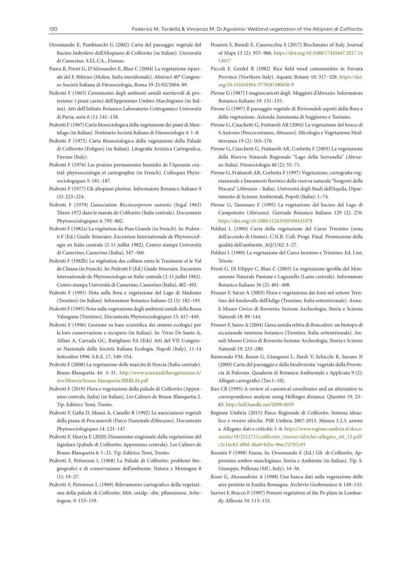- Orsomando E, Pambianchi G (2002) Carta del paesaggio vegetale del Bacino Imbrifero dell'Altopiano di Colfiorito (in Italian). Università di Camerino. S.EL.CA., Firenze.
- Paura B, Presti G, D'Alessandro E, Blasi C (2004) La vegetazione ripariale del F. Biferno (Molise, Italia meridionale). Abstract 40° Congresso Società Italiana di Fitosociologia, Roma 19-21/02/2004: 89.
- Pedrotti F (1965) Censimento degli ambienti umidi meritevoli di protezione: i piani carsici dell'Appennino Umbro-Marchigiano (in Italian). Atti dell'Istituto Botanico Laboratorio Crittogamico Università di Pavia, serie 6 (1): 141–158.
- Pedrotti F (1967) Carta fitosociologica della vegetazione dei piani di Montelago (in Italian). Notiziario Società Italiana di Fitosociologia 4: 1–8.
- Pedrotti F (1975) Carta fitosociologica della vegetazione della Palude di Colfiorito (Foligno) (in Italian). Litografia Artistica Cartografica, Firenze (Italy).
- Pedrotti F (1976) Les prairies permanentes humides de l'Apennin central: phytosociologie et cartographie (in French). Colloques Phytosociologiques 5: 181–187.
- Pedrotti F (1977) Gli altopiani plestini. Informatore Botanico Italiano 9 (3): 223–224.
- Pedrotti F (1979) L'association *Ricciocarpetum natantis* (Segal 1963) Tüxen 1972 dans le marais de Colfiorito (Italie centrale). Documents Phytosociologiques 4: 795–802.
- Pedrotti F (1982a) La végétation du Pian Grande (in French). In: Pedrotti F (Ed.) Guide-Itineraire. Excursion Internationale de Phytosociologie en Italie centrale (2-11 juillet 1982). Centro stampa Università di Camerino, Camerino (Italia), 347–360.
- Pedrotti F (1982b) La végétation des collines entre le Trasimene et le Val de Chiana (in French). In: Pedrotti F (Ed.) Guide-Itineraire. Excursion Internationale de Phytosociologie en Italie centrale (2-11 juillet 1982). Centro stampa Università di Camerino, Camerino (Italia), 482–492.
- Pedrotti F (1991) Nota sulla flora e vegetazione del Lago di Madrano (Trentino) (in Italian). Informatore Botanico Italiano 22 (3): 182–193.
- Pedrotti F (1995) Nota sulla vegetazione degli ambienti umidi della Bassa Valsugana (Trentino). Documents Phytosociologiques 15: 417–449.
- Pedrotti F (1996) Gestione su base scientifica dei sistemi ecologici per la loro conservazione e recupero (in Italian). In: Virzo De Santo A, Alfani A, Carrada GC, Rutigliano FA (Eds) Atti del VII Congresso Nazionale della Società Italiana Ecologia. Napoli (Italy), 11-14 Settembre 1996. S.It.E. 17, 549–554.
- Pedrotti F (2008) La vegetazione delle marcite di Norcia (Italia centrale). Braun-Blanquetia 44: 3–31. [http://www.scienzadellavegetazione.it/](http://www.scienzadellavegetazione.it/sisv/libreria/braun-blanquetia/BRBL44.pdf) [sisv/libreria/braun-blanquetia/BRBL44.pdf](http://www.scienzadellavegetazione.it/sisv/libreria/braun-blanquetia/BRBL44.pdf)
- Pedrotti F (2019) Flora e vegetazione della palude di Colfiorito (Appennino centrale, Italia) (in Italian). Les Cahiers de Braun-Blanquetia 2. Tip. Editrice Temi, Trento.
- Pedrotti F, Gafta D, Manzi A, Canullo R (1992) Le associazioni vegetali della piana di Pescasseroli (Parco Nazionale d'Abruzzo). Documents Phytosociologiques 14: 123–147.
- Pedrotti F, Murrja E (2020) Dinamismo stagionale della vegetazione del fagiolaro (palude di Colfiorito, Appennino centrale). Les Cahiers de Braun-Blanquetia 6: 1–21. Tip. Editrice Temi, Trento.
- Pedrotti F, Pettorossi L (1968) La Palude di Colfiorito: problemi fitogeografici e di conservazione dell'ambiente. Natura e Montagna 8 (1): 19–27.
- Pedrotti F, Pettorossi L (1969) Rilevamento cartografico della vegetazione della palude di Colfiorito. Mitt. ostalp.- din. pflauzensoz. Arbeitsgem. 9: 153–159.
- Pesaresi S, Biondi E, Casavecchia S (2017) Bioclimates of Italy. Journal of Maps 13 (2): 955–960. [https://doi.org/10.1080/17445647.2017.14](https://doi.org/10.1080/17445647.2017.1413017) [13017](https://doi.org/10.1080/17445647.2017.1413017)
- Piccoli F, Gerdol R (1982) Rice field weed communities in Ferrara Province (Northern Italy). Aquatic Botany 10: 317–328. [https://doi.](https://doi.org/10.1016/0304-3770(81)90030-9) [org/10.1016/0304-3770\(81\)90030-9](https://doi.org/10.1016/0304-3770(81)90030-9)
- Pirone G (1987) I magnocariceti degli Maggiori d'Abruzzo. Informatore Botanico Italiano 19: 131–135.
- Pirone G (1997) Il paesaggio vegetale di Rivisondoli aspetti della flora e della vegetazione. Azienda Autonoma di Soggiorno e Turismo.
- Pirone G, Ciaschetti G, Frattaroli AR (2004) La vegetazione del bosco di S.Antonio (Pescocostanzo, Abruzzo). Micologia e Vegetazione Mediterranea 19 (2): 163–176.
- Pirone G, Ciaschetti G, Frattaroli AR, Corbetta F (2003) La vegetazione della Riserva Naturale Regionale "Lago della Serranella" (Abruzzo-Italia). Fitosociologia 40 (2): 55–71.
- Pirone G, Frattaroli AR, Corbetta F (1997) Vegetazione, cartografia vegetazionale e lineamenti floristici della riserva naturale "Sorgenti della Pescara" (Abruzzo – Italia). Università degli Studi dell'Aquila, Dipartimento di Scienze Ambientali, Popoli (Italia): 1–74.
- Pirone G, Tammaro F (1995) La vegetazione del bacino del Lago di Campotosto (Abruzzo). Giornale Botanico Italiano 129 (2): 276. <https://doi.org/10.1080/11263509509431078>
- Poldini L (1980) Carta della vegetazione del Carso Triestino (zona dell'accordo di Osimo). C.N.R. Coll. Progr. Final. Promozione della qualità dell'ambiente. AQ/1/82: 3–27.
- Poldini L (1989) La vegetazione del Carso Isontino e Triestino. Ed. Lint, Trieste.
- Presti G, Di Filippo C, Blasi C (2005) La vegetazione igrofila del Monumento Naturale Pantane e Lagusiello (Lazio centrale). Informatore Botanico Italiano 36 (2): 401–408.
- Prosser F, Sarzo A (2003) Flora e vegetazione dei fossi nel settore Trentino del fondovalle dell'Adige (Trentino, Italia settentrionale). Annali Museo Civico di Rovereto, Sezione Archeologia, Storia e Scienze Naturali 18: 89–144.
- Prosser F, Sarzo A (2004) L'area umida relitta di Roncafort: un biotopo di eccezionale interesse botanico (Trentino, Italia settentrionale). Annali Museo Civico di Rovereto Sezione Archeologia, Storia e Scienze Naturali 19: 233–280.
- Raimondo FM, Bazan G, Gianguzzi L, Ilardi V, Schicchi R, Surano N (2000) Carta del paesaggio e della biodiversita`vegetale della Provincia di Palermo. Quaderni di Botanica Ambientale e Applicata 9 (2): Allegati cartografici (Tav.1–10).
- Rao CR (1995) A review of canonical coordinates and an alternative to correspondence analysis using Hellinger distance. Qüestiió 19: 23– 63. <http://hdl.handle.net/2099/4059>
- Regione Umbria (2015) Parco Regionale di Colfiorito. Sistema idraulico e risorse idriche. PSR Umbria 2007-2013. Misura 3.2.3, azione a. Allegato: dati e criticità: 1–6. [https://www.regione.umbria.it/docu](https://www.regione.umbria.it/documents/18/2512711/colfiorito_risorse+idriche+allegato_ott_15.pdf/c2c16c82-df9d-4ba9-8d5e-96ec72707c93)[ments/18/2512711/colfiorito\\_risorse+idriche+allegato\\_ott\\_15.pdf/](https://www.regione.umbria.it/documents/18/2512711/colfiorito_risorse+idriche+allegato_ott_15.pdf/c2c16c82-df9d-4ba9-8d5e-96ec72707c93) [c2c16c82-df9d-4ba9-8d5e-96ec72707c93](https://www.regione.umbria.it/documents/18/2512711/colfiorito_risorse+idriche+allegato_ott_15.pdf/c2c16c82-df9d-4ba9-8d5e-96ec72707c93)
- Renzini F (1998) Fauna. In: Orsomando E (Ed.) Gli di Colfiorito, Appennino umbro-marchigiano. Storia e Ambiente (in Italian). Tip. S. Giuseppe, Pollenza (MC, Italy), 34–36.
- Rossi G, Alessandrini A (1998) Una banca dati sulla vegetazione delle aree protette in Emilia-Romagna. Archivio Geobotanico 4: 149–155.
- Sartori F, Bracco F (1997) Present vegetation of the Po plain in Lombardy. Allionia 34: 113–135.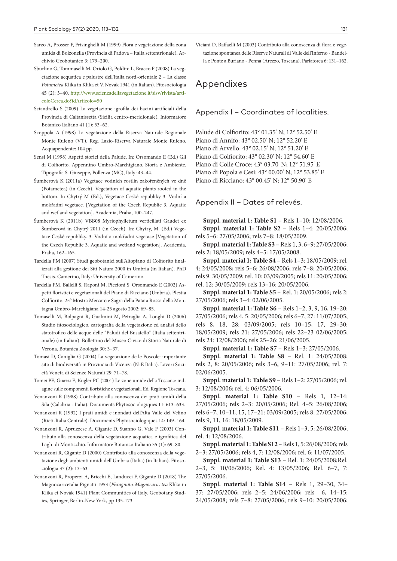- Sarzo A, Prosser F, Frisinghelli M (1999) Flora e vegetazione della zona umida di Bolzonella (Provincia di Padova – Italia settentrionale). Archivio Geobotanico 3: 179–200.
- Sburlino G, Tommaselli M, Oriolo G, Poldini L, Bracco F (2008) La vegetazione acquatica e palustre dell'Italia nord-orientale 2 – La classe *Potametea* Klika in Klika et V. Novák 1941 (in Italian). Fitosociologia 45 (2): 3–40. [http://www.scienzadellavegetazione.it/sisv/rivista/arti](http://www.scienzadellavegetazione.it/sisv/rivista/articoloCerca.do?idArticolo=50)[coloCerca.do?idArticolo=50](http://www.scienzadellavegetazione.it/sisv/rivista/articoloCerca.do?idArticolo=50)
- Sciandrello S (2009) La vegetazione igrofila dei bacini artificiali della Provincia di Caltanissetta (Sicilia centro-meridionale). Informatore Botanico Italiano 41 (1): 53–62.
- Scoppola A (1998) La vegetazione della Riserva Naturale Regionale Monte Rufeno (VT). Reg. Lazio-Riserva Naturale Monte Rufeno. Acquapendente: 104 pp.
- Sensi M (1998) Aspetti storici della Palude. In: Orsomando E (Ed.) Gli di Colfiorito. Appennino Umbro-Marchigiano. Storia e Ambiente. Tipografia S. Giuseppe, Pollenza (MC), Italy: 43–44.
- Šumberová K (2011a) Vegetace vodních rostlin zakořeněných ve dně (Potametea) (in Czech). Vegetation of aquatic plants rooted in the bottom. In Chytrý M (Ed.), Vegetace České republiky 3. Vodní a mokřadní vegetace. [Vegetation of the Czech Republic 3. Aquatic and wetland vegetation]. Academia, Praha, 100–247.
- Šumberová K (2011b) VBB08 Myriophylletum verticillati Gaudet ex Šumberová in Chytrý 2011 (in Czech). In: Chytrý, M. (Ed.) Vegetace České republiky. 3. Vodní a mokřadní vegetace [Vegetation of the Czech Republic 3. Aquatic and wetland vegetation]. Academia, Praha, 162–165.
- Tardella FM (2007) Studi geobotanici sull'Altopiano di Colfiorito finalizzati alla gestione dei Siti Natura 2000 in Umbria (in Italian). PhD Thesis. Camerino, Italy: University of Camerino.
- Tardella FM, Ballelli S, Raponi M, Piccioni S, Orsomando E (2002) Aspetti floristici e vegetazionali del Piano di Ricciano (Umbria). Plestia Colfiorito. 25° Mostra Mercato e Sagra della Patata Rossa della Montagna Umbro-Marchigiana 14-25 agosto 2002: 69–85.
- Tomaselli M, Bolpagni R, Gualmini M, Petraglia A, Longhi D (2006) Studio fitosociologico, cartografia della vegetazione ed analisi dello statotrofico delle acque delle "Paludi del Busatello" (Italia settentrionale) (in Italian). Bollettino del Museo Civico di Storia Naturale di Verona, Botanica Zoologia 30: 3–37.
- Tomasi D, Caniglia G (2004) La vegetazione de le Poscole: importante sito di biodiversità in Provincia di Vicenza (N-E Italia). Lavori Società Veneta di Scienze Naturali 29: 71–78.
- Tomei PE, Guazzi E, Kugler PC (2001) Le zone umide della Toscana: indagine sulle componenti floristiche e vegetazionali. Ed. Regione Toscana.
- Venanzoni R (1988) Contributo alla conoscenza dei prati umidi della Sila (Calabria - Italia). Documents Phytosociologiques 11: 613–633.
- Venanzoni R (1992) I prati umidi e inondati dell'Alta Valle del Velino (Rieti-Italia Centrale). Documents Phytosociologiques 14: 149–164.
- Venanzoni R, Apruzzese A, Gigante D, Suanno G, Vale F (2003) Contributo alla conoscenza della vegetazione acquatica e igrofitica del Laghi di Monticchio. Informatore Botanico Italiano 35 (1): 69–80.
- Venanzoni R, Gigante D (2000) Contributo alla conoscenza della vegetazione degli ambienti umidi dell'Umbria (Italia) (in Italian). Fitosociologia 37 (2): 13–63.
- Venanzoni R, Properzi A, Bricchi E, Landucci F, Gigante D (2018) The Magnocaricetalia Pignatti 1953 (*Phragmito-Magnocaricetea* Klika in Klika et Novák 1941) Plant Communities of Italy. Geobotany Studies, Springer, Berlin-New York, pp 135-173.

Viciani D, Raffaelli M (2003) Contributo alla conoscenza di flora e vegetazione spontanea delle Riserve Naturali di Valle dell'Inferno - Bandella e Ponte a Buriano - Penna (Arezzo, Toscana). Parlatorea 6: 131–162.

## Appendixes

#### Appendix I – Coordinates of localities.

Palude di Colfiorito: 43° 01.35' N; 12° 52.50' E Piano di Annifo: 43° 02.50' N; 12° 52.20' E Piano di Arvello: 43° 02.15' N; 12° 51.20' E Piano di Colfiorito: 43° 02.30' N; 12° 54.60' E Piano di Colle Croce: 43° 03.70' N; 12° 51.95' E Piano di Popola e Cesi: 43° 00.00' N; 12° 53.85' E Piano di Ricciano: 43° 00.45' N; 12° 50.90' E

Appendix II – Dates of relevés.

**Suppl. material 1: Table S1** – Rels 1–10: 12/08/2006. **Suppl. material 1: Table S2** – Rels 1–4: 20/05/2006; rels 5–6: 27/05/2006; rels 7–8: 18/05/2009.

**Suppl. material 1: Table S3** – Rels 1, 3, 6–9: 27/05/2006; rels 2: 18/05/2009; rels 4–5: 17/05/2008.

**Suppl. material 1: Table S4** – Rels 1–3: 18/05/2009; rel. 4: 24/05/2008; rels 5–6: 26/08/2006; rels 7–8: 20/05/2006; rels 9: 30/05/2009; rel. 10: 03/09/2005; rels 11: 20/05/2006; rel. 12: 30/05/2009; rels 13–16: 20/05/2006.

**Suppl. material 1: Table S5** – Rel. 1: 20/05/2006; rels 2: 27/05/2006; rels 3–4: 02/06/2005.

**Suppl. material 1: Table S6** – Rels 1–2, 3, 9, 16, 19–20: 27/05/2006; rels 4, 5: 20/05/2006; rels 6–7, 27: 11/07/2005; rels 8, 18, 28: 03/09/2005; rels 10–15, 17, 29–30: 18/05/2009; rels 21: 27/05/2006; rels 22–23 02/06/2005; rels 24: 12/08/2006; rels 25–26: 21/06/2005.

**Suppl. material 1: Table S7** – Rels 1–3: 27/05/2006.

**Suppl. material 1: Table S8** – Rel. 1: 24/05/2008; rels 2, 8: 20/05/2006; rels 3–6, 9–11: 27/05/2006; rel. 7: 02/06/2005.

**Suppl. material 1: Table S9** – Rels 1–2: 27/05/2006; rel. 3: 12/08/2006; rel. 4: 06/05/2006.

**Suppl. material 1: Table S10** – Rels 1, 12–14: 27/05/2006; rels 2–3: 20/05/2006; Rel. 4–5: 26/08/2006; rels 6–7, 10–11, 15, 17–21: 03/09/2005; rels 8: 27/05/2006; rels 9, 11, 16: 18/05/2009.

**Suppl. material 1: Table S11** – Rels 1–3, 5: 26/08/2006; rel. 4: 12/08/2006.

**Suppl. material 1: Table S12** – Rels 1, 5: 26/08/2006; rels 2–3: 27/05/2006; rels 4, 7: 12/08/2006; rel. 6: 11/07/2005.

**Suppl. material 1: Table S13** – Rel. 1: 24/05/2008;Rel. 2–3, 5: 10/06/2006; Rel. 4: 13/05/2006; Rel. 6–7, 7: 27/05/2006.

**Suppl. material 1: Table S14** – Rels 1, 29–30, 34– 37: 27/05/2006; rels 2–5: 24/06/2006; rels 6, 14–15: 24/05/2008; rels 7–8: 27/05/2006; rels 9–10: 20/05/2006;